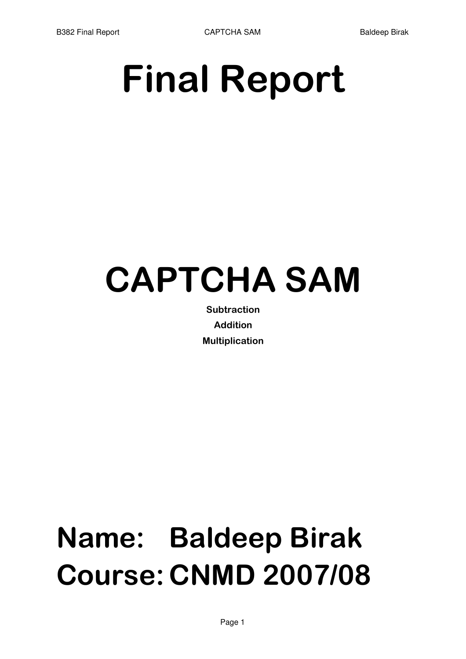B382 Final Report **CAPTCHA SAM** Baldeep Birak

# **Final Report**

# **CAPTCHA SAM**

Subtraction **Addition** Multiplication

# **Name: Baldeep Birak Course: CNMD 2007/08**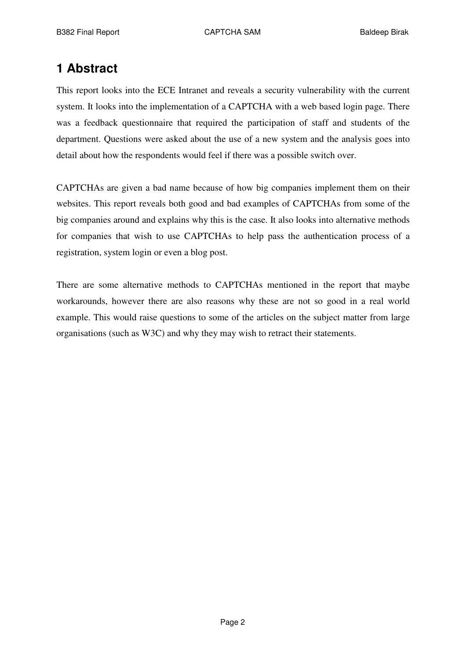# **1 Abstract**

This report looks into the ECE Intranet and reveals a security vulnerability with the current system. It looks into the implementation of a CAPTCHA with a web based login page. There was a feedback questionnaire that required the participation of staff and students of the department. Questions were asked about the use of a new system and the analysis goes into detail about how the respondents would feel if there was a possible switch over.

CAPTCHAs are given a bad name because of how big companies implement them on their websites. This report reveals both good and bad examples of CAPTCHAs from some of the big companies around and explains why this is the case. It also looks into alternative methods for companies that wish to use CAPTCHAs to help pass the authentication process of a registration, system login or even a blog post.

There are some alternative methods to CAPTCHAs mentioned in the report that maybe workarounds, however there are also reasons why these are not so good in a real world example. This would raise questions to some of the articles on the subject matter from large organisations (such as W3C) and why they may wish to retract their statements.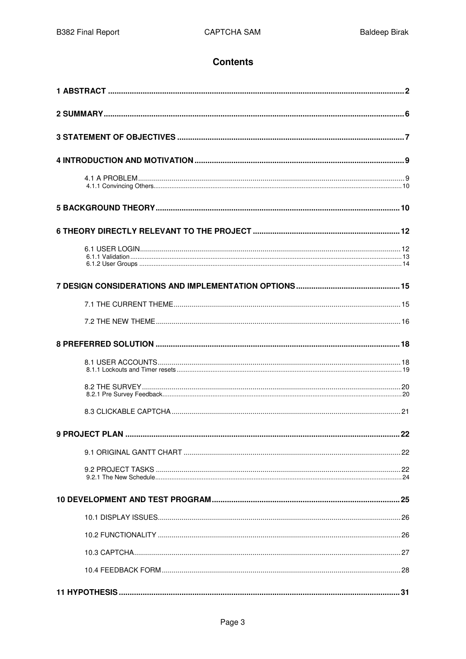### **Contents**

| 22 |
|----|
|    |
|    |
|    |
|    |
|    |
|    |
|    |
|    |
|    |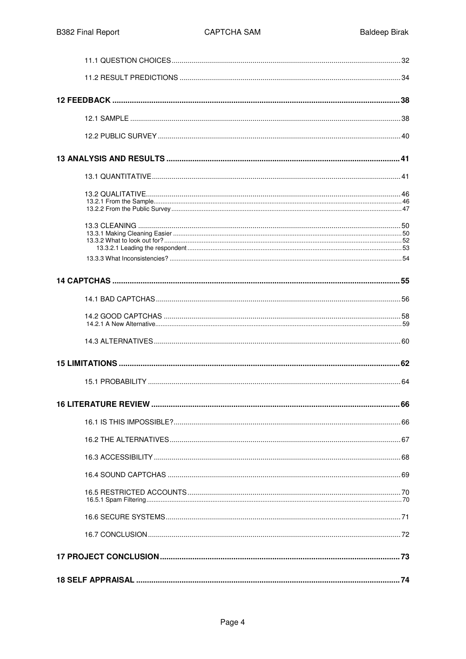| <b>16 LITERATURE REVIEW.</b> | 66 |
|------------------------------|----|
|                              |    |
|                              |    |
|                              |    |
|                              |    |
|                              |    |
|                              |    |
|                              |    |
|                              |    |
|                              |    |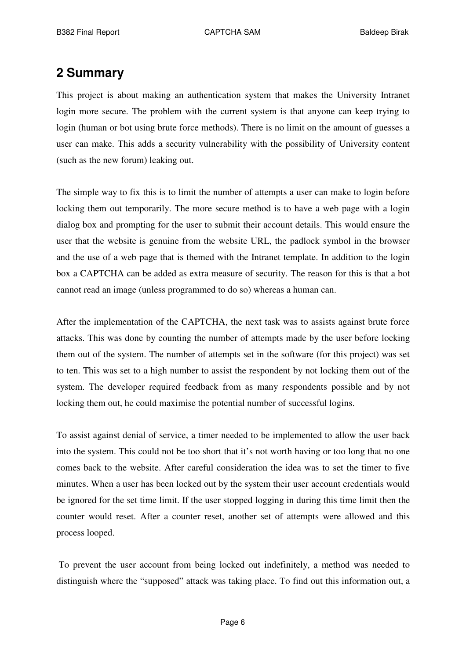# **2 Summary**

This project is about making an authentication system that makes the University Intranet login more secure. The problem with the current system is that anyone can keep trying to login (human or bot using brute force methods). There is no limit on the amount of guesses a user can make. This adds a security vulnerability with the possibility of University content (such as the new forum) leaking out.

The simple way to fix this is to limit the number of attempts a user can make to login before locking them out temporarily. The more secure method is to have a web page with a login dialog box and prompting for the user to submit their account details. This would ensure the user that the website is genuine from the website URL, the padlock symbol in the browser and the use of a web page that is themed with the Intranet template. In addition to the login box a CAPTCHA can be added as extra measure of security. The reason for this is that a bot cannot read an image (unless programmed to do so) whereas a human can.

After the implementation of the CAPTCHA, the next task was to assists against brute force attacks. This was done by counting the number of attempts made by the user before locking them out of the system. The number of attempts set in the software (for this project) was set to ten. This was set to a high number to assist the respondent by not locking them out of the system. The developer required feedback from as many respondents possible and by not locking them out, he could maximise the potential number of successful logins.

To assist against denial of service, a timer needed to be implemented to allow the user back into the system. This could not be too short that it's not worth having or too long that no one comes back to the website. After careful consideration the idea was to set the timer to five minutes. When a user has been locked out by the system their user account credentials would be ignored for the set time limit. If the user stopped logging in during this time limit then the counter would reset. After a counter reset, another set of attempts were allowed and this process looped.

To prevent the user account from being locked out indefinitely, a method was needed to distinguish where the "supposed" attack was taking place. To find out this information out, a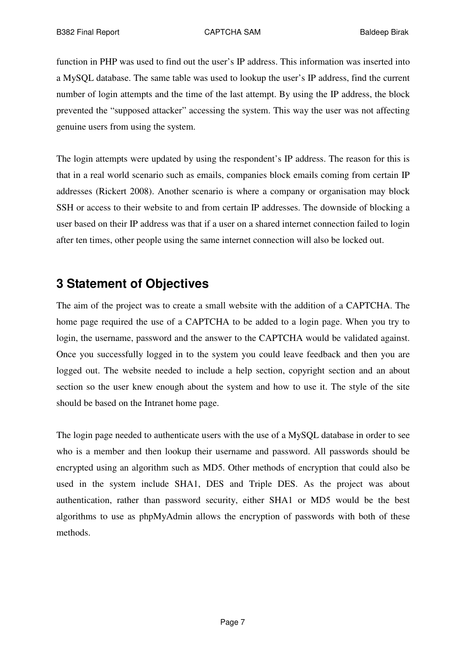function in PHP was used to find out the user's IP address. This information was inserted into a MySQL database. The same table was used to lookup the user's IP address, find the current number of login attempts and the time of the last attempt. By using the IP address, the block prevented the "supposed attacker" accessing the system. This way the user was not affecting genuine users from using the system.

The login attempts were updated by using the respondent's IP address. The reason for this is that in a real world scenario such as emails, companies block emails coming from certain IP addresses (Rickert 2008). Another scenario is where a company or organisation may block SSH or access to their website to and from certain IP addresses. The downside of blocking a user based on their IP address was that if a user on a shared internet connection failed to login after ten times, other people using the same internet connection will also be locked out.

# **3 Statement of Objectives**

The aim of the project was to create a small website with the addition of a CAPTCHA. The home page required the use of a CAPTCHA to be added to a login page. When you try to login, the username, password and the answer to the CAPTCHA would be validated against. Once you successfully logged in to the system you could leave feedback and then you are logged out. The website needed to include a help section, copyright section and an about section so the user knew enough about the system and how to use it. The style of the site should be based on the Intranet home page.

The login page needed to authenticate users with the use of a MySQL database in order to see who is a member and then lookup their username and password. All passwords should be encrypted using an algorithm such as MD5. Other methods of encryption that could also be used in the system include SHA1, DES and Triple DES. As the project was about authentication, rather than password security, either SHA1 or MD5 would be the best algorithms to use as phpMyAdmin allows the encryption of passwords with both of these methods.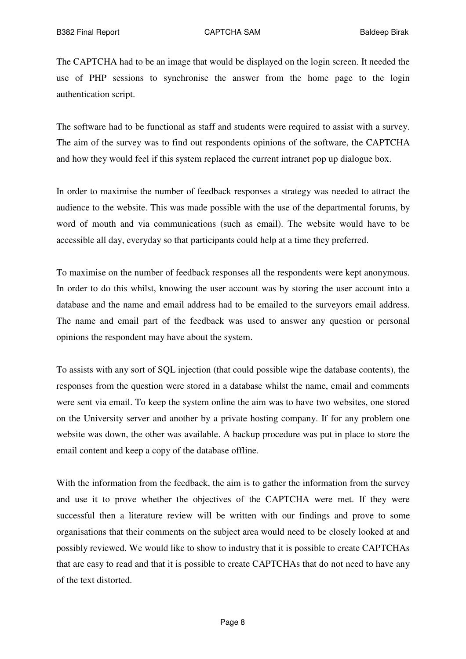The CAPTCHA had to be an image that would be displayed on the login screen. It needed the use of PHP sessions to synchronise the answer from the home page to the login authentication script.

The software had to be functional as staff and students were required to assist with a survey. The aim of the survey was to find out respondents opinions of the software, the CAPTCHA and how they would feel if this system replaced the current intranet pop up dialogue box.

In order to maximise the number of feedback responses a strategy was needed to attract the audience to the website. This was made possible with the use of the departmental forums, by word of mouth and via communications (such as email). The website would have to be accessible all day, everyday so that participants could help at a time they preferred.

To maximise on the number of feedback responses all the respondents were kept anonymous. In order to do this whilst, knowing the user account was by storing the user account into a database and the name and email address had to be emailed to the surveyors email address. The name and email part of the feedback was used to answer any question or personal opinions the respondent may have about the system.

To assists with any sort of SQL injection (that could possible wipe the database contents), the responses from the question were stored in a database whilst the name, email and comments were sent via email. To keep the system online the aim was to have two websites, one stored on the University server and another by a private hosting company. If for any problem one website was down, the other was available. A backup procedure was put in place to store the email content and keep a copy of the database offline.

With the information from the feedback, the aim is to gather the information from the survey and use it to prove whether the objectives of the CAPTCHA were met. If they were successful then a literature review will be written with our findings and prove to some organisations that their comments on the subject area would need to be closely looked at and possibly reviewed. We would like to show to industry that it is possible to create CAPTCHAs that are easy to read and that it is possible to create CAPTCHAs that do not need to have any of the text distorted.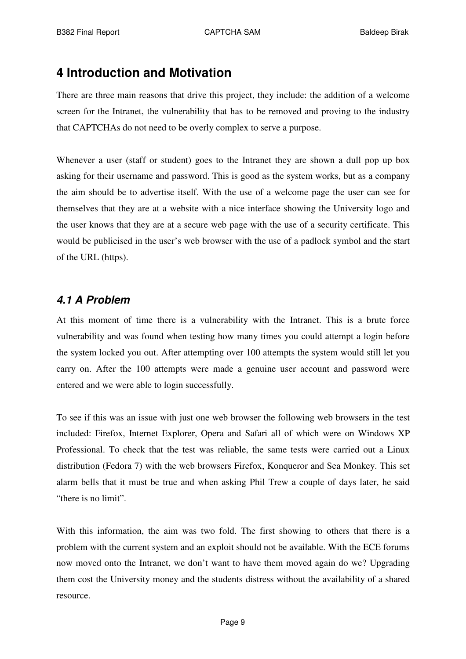# **4 Introduction and Motivation**

There are three main reasons that drive this project, they include: the addition of a welcome screen for the Intranet, the vulnerability that has to be removed and proving to the industry that CAPTCHAs do not need to be overly complex to serve a purpose.

Whenever a user (staff or student) goes to the Intranet they are shown a dull pop up box asking for their username and password. This is good as the system works, but as a company the aim should be to advertise itself. With the use of a welcome page the user can see for themselves that they are at a website with a nice interface showing the University logo and the user knows that they are at a secure web page with the use of a security certificate. This would be publicised in the user's web browser with the use of a padlock symbol and the start of the URL (https).

## *4.1 A Problem*

At this moment of time there is a vulnerability with the Intranet. This is a brute force vulnerability and was found when testing how many times you could attempt a login before the system locked you out. After attempting over 100 attempts the system would still let you carry on. After the 100 attempts were made a genuine user account and password were entered and we were able to login successfully.

To see if this was an issue with just one web browser the following web browsers in the test included: Firefox, Internet Explorer, Opera and Safari all of which were on Windows XP Professional. To check that the test was reliable, the same tests were carried out a Linux distribution (Fedora 7) with the web browsers Firefox, Konqueror and Sea Monkey. This set alarm bells that it must be true and when asking Phil Trew a couple of days later, he said "there is no limit".

With this information, the aim was two fold. The first showing to others that there is a problem with the current system and an exploit should not be available. With the ECE forums now moved onto the Intranet, we don't want to have them moved again do we? Upgrading them cost the University money and the students distress without the availability of a shared resource.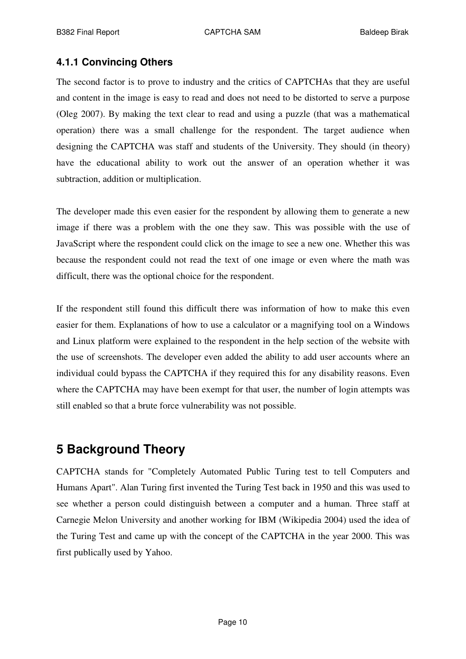### **4.1.1 Convincing Others**

The second factor is to prove to industry and the critics of CAPTCHAs that they are useful and content in the image is easy to read and does not need to be distorted to serve a purpose (Oleg 2007). By making the text clear to read and using a puzzle (that was a mathematical operation) there was a small challenge for the respondent. The target audience when designing the CAPTCHA was staff and students of the University. They should (in theory) have the educational ability to work out the answer of an operation whether it was subtraction, addition or multiplication.

The developer made this even easier for the respondent by allowing them to generate a new image if there was a problem with the one they saw. This was possible with the use of JavaScript where the respondent could click on the image to see a new one. Whether this was because the respondent could not read the text of one image or even where the math was difficult, there was the optional choice for the respondent.

If the respondent still found this difficult there was information of how to make this even easier for them. Explanations of how to use a calculator or a magnifying tool on a Windows and Linux platform were explained to the respondent in the help section of the website with the use of screenshots. The developer even added the ability to add user accounts where an individual could bypass the CAPTCHA if they required this for any disability reasons. Even where the CAPTCHA may have been exempt for that user, the number of login attempts was still enabled so that a brute force vulnerability was not possible.

# **5 Background Theory**

CAPTCHA stands for "Completely Automated Public Turing test to tell Computers and Humans Apart". Alan Turing first invented the Turing Test back in 1950 and this was used to see whether a person could distinguish between a computer and a human. Three staff at Carnegie Melon University and another working for IBM (Wikipedia 2004) used the idea of the Turing Test and came up with the concept of the CAPTCHA in the year 2000. This was first publically used by Yahoo.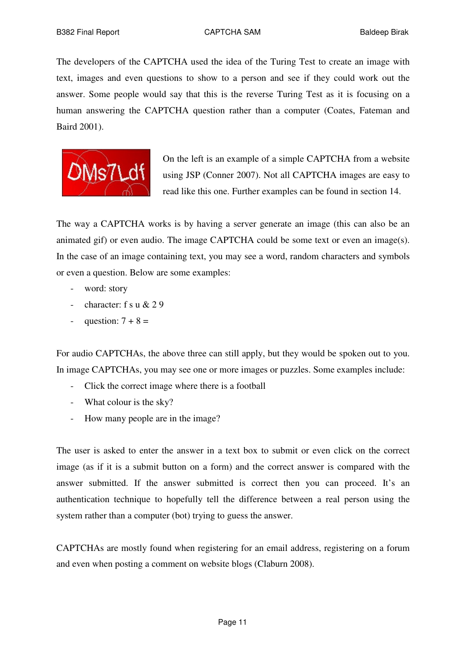The developers of the CAPTCHA used the idea of the Turing Test to create an image with text, images and even questions to show to a person and see if they could work out the answer. Some people would say that this is the reverse Turing Test as it is focusing on a human answering the CAPTCHA question rather than a computer (Coates, Fateman and Baird 2001).



On the left is an example of a simple CAPTCHA from a website using JSP (Conner 2007). Not all CAPTCHA images are easy to read like this one. Further examples can be found in section 14.

The way a CAPTCHA works is by having a server generate an image (this can also be an animated gif) or even audio. The image CAPTCHA could be some text or even an image(s). In the case of an image containing text, you may see a word, random characters and symbols or even a question. Below are some examples:

- word: story
- character: f s u & 2 9
- question:  $7 + 8 =$

For audio CAPTCHAs, the above three can still apply, but they would be spoken out to you. In image CAPTCHAs, you may see one or more images or puzzles. Some examples include:

- Click the correct image where there is a football
- What colour is the sky?
- How many people are in the image?

The user is asked to enter the answer in a text box to submit or even click on the correct image (as if it is a submit button on a form) and the correct answer is compared with the answer submitted. If the answer submitted is correct then you can proceed. It's an authentication technique to hopefully tell the difference between a real person using the system rather than a computer (bot) trying to guess the answer.

CAPTCHAs are mostly found when registering for an email address, registering on a forum and even when posting a comment on website blogs (Claburn 2008).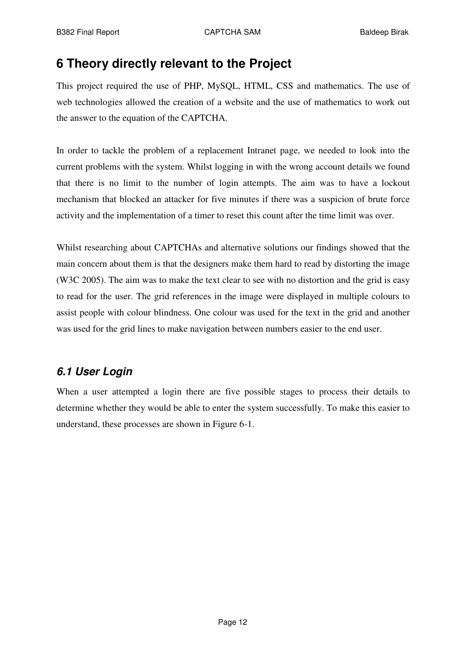# **6 Theory directly relevant to the Project**

This project required the use of PHP, MySQL, HTML, CSS and mathematics. The use of web technologies allowed the creation of a website and the use of mathematics to work out the answer to the equation of the CAPTCHA.

In order to tackle the problem of a replacement Intranet page, we needed to look into the current problems with the system. Whilst logging in with the wrong account details we found that there is no limit to the number of login attempts. The aim was to have a lockout mechanism that blocked an attacker for five minutes if there was a suspicion of brute force activity and the implementation of a timer to reset this count after the time limit was over.

Whilst researching about CAPTCHAs and alternative solutions our findings showed that the main concern about them is that the designers make them hard to read by distorting the image (W3C 2005). The aim was to make the text clear to see with no distortion and the grid is easy to read for the user. The grid references in the image were displayed in multiple colours to assist people with colour blindness. One colour was used for the text in the grid and another was used for the grid lines to make navigation between numbers easier to the end user.

# *6.1 User Login*

When a user attempted a login there are five possible stages to process their details to determine whether they would be able to enter the system successfully. To make this easier to understand, these processes are shown in Figure 6-1.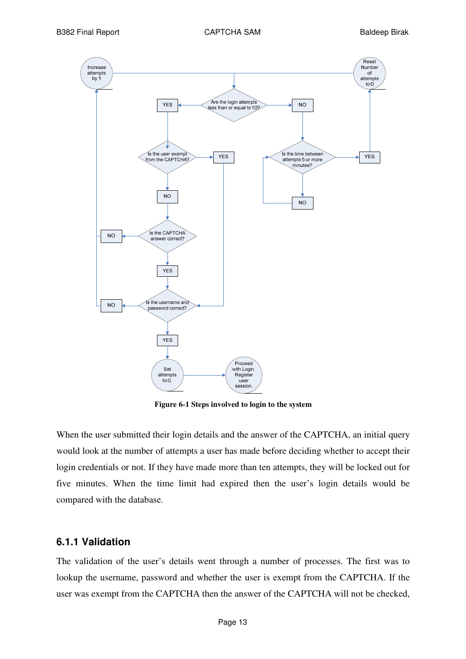

**Figure 6-1 Steps involved to login to the system**

When the user submitted their login details and the answer of the CAPTCHA, an initial query would look at the number of attempts a user has made before deciding whether to accept their login credentials or not. If they have made more than ten attempts, they will be locked out for five minutes. When the time limit had expired then the user's login details would be compared with the database.

#### **6.1.1 Validation**

The validation of the user's details went through a number of processes. The first was to lookup the username, password and whether the user is exempt from the CAPTCHA. If the user was exempt from the CAPTCHA then the answer of the CAPTCHA will not be checked,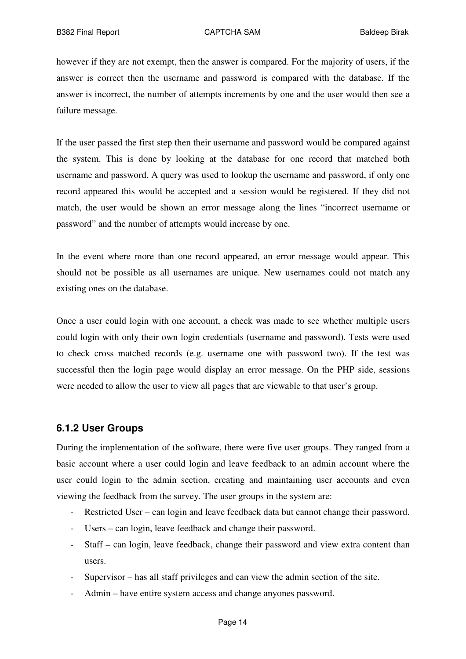however if they are not exempt, then the answer is compared. For the majority of users, if the answer is correct then the username and password is compared with the database. If the answer is incorrect, the number of attempts increments by one and the user would then see a failure message.

If the user passed the first step then their username and password would be compared against the system. This is done by looking at the database for one record that matched both username and password. A query was used to lookup the username and password, if only one record appeared this would be accepted and a session would be registered. If they did not match, the user would be shown an error message along the lines "incorrect username or password" and the number of attempts would increase by one.

In the event where more than one record appeared, an error message would appear. This should not be possible as all usernames are unique. New usernames could not match any existing ones on the database.

Once a user could login with one account, a check was made to see whether multiple users could login with only their own login credentials (username and password). Tests were used to check cross matched records (e.g. username one with password two). If the test was successful then the login page would display an error message. On the PHP side, sessions were needed to allow the user to view all pages that are viewable to that user's group.

### **6.1.2 User Groups**

During the implementation of the software, there were five user groups. They ranged from a basic account where a user could login and leave feedback to an admin account where the user could login to the admin section, creating and maintaining user accounts and even viewing the feedback from the survey. The user groups in the system are:

- Restricted User can login and leave feedback data but cannot change their password.
- Users can login, leave feedback and change their password.
- Staff can login, leave feedback, change their password and view extra content than users.
- Supervisor has all staff privileges and can view the admin section of the site.
- Admin have entire system access and change anyones password.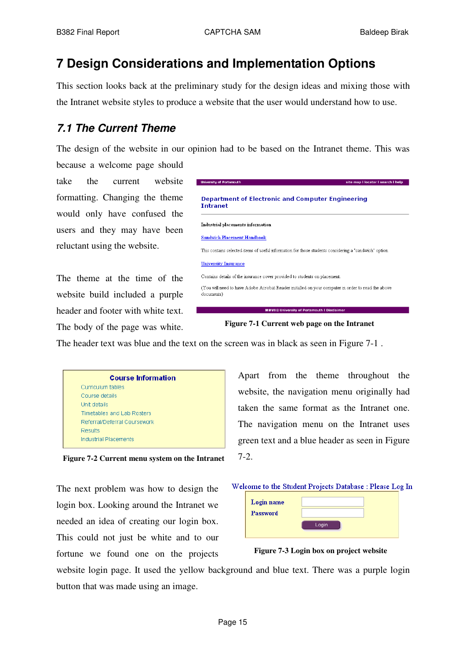# **7 Design Considerations and Implementation Options**

This section looks back at the preliminary study for the design ideas and mixing those with the Intranet website styles to produce a website that the user would understand how to use.

# *7.1 The Current Theme*

The design of the website in our opinion had to be based on the Intranet theme. This was

because a welcome page should take the current website formatting. Changing the theme would only have confused the users and they may have been reluctant using the website.

The theme at the time of the website build included a purple header and footer with white text. The body of the page was white.



**Figure 7-1 Current web page on the Intranet**

The header text was blue and the text on the screen was in black as seen in Figure 7-1.

| <b>Course Information</b>    |
|------------------------------|
| Curriculum tables            |
| Course details               |
| Unit details                 |
| Timetables and Lab Rosters   |
| Referral/Deferral Coursework |
| Results                      |
| <b>Industrial Placements</b> |

**Figure 7-2 Current menu system on the Intranet**

The next problem was how to design the login box. Looking around the Intranet we needed an idea of creating our login box. This could not just be white and to our fortune we found one on the projects







**Figure 7-3 Login box on project website**

website login page. It used the yellow background and blue text. There was a purple login button that was made using an image.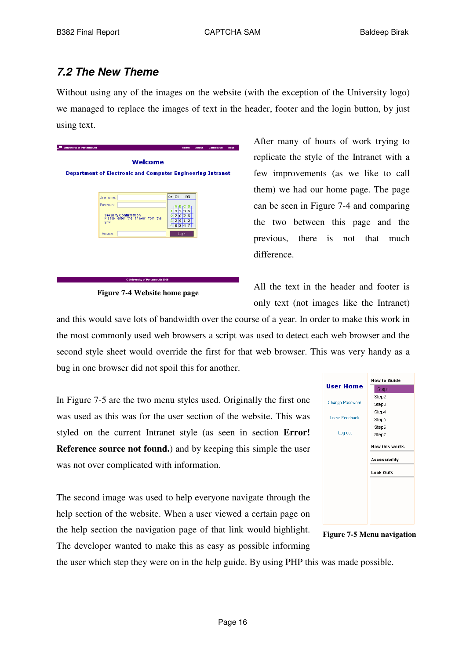## *7.2 The New Theme*

Without using any of the images on the website (with the exception of the University logo) we managed to replace the images of text in the header, footer and the login button, by just using text.



**Figure 7-4 Website home page**

After many of hours of work trying to replicate the style of the Intranet with a few improvements (as we like to call them) we had our home page. The page can be seen in Figure 7-4 and comparing the two between this page and the previous, there is not that much difference.

All the text in the header and footer is only text (not images like the Intranet)

and this would save lots of bandwidth over the course of a year. In order to make this work in the most commonly used web browsers a script was used to detect each web browser and the second style sheet would override the first for that web browser. This was very handy as a bug in one browser did not spoil this for another.

In Figure 7-5 are the two menu styles used. Originally the first one was used as this was for the user section of the website. This was styled on the current Intranet style (as seen in section **Error! Reference source not found.**) and by keeping this simple the user was not over complicated with information.

The second image was used to help everyone navigate through the help section of the website. When a user viewed a certain page on the help section the navigation page of that link would highlight. The developer wanted to make this as easy as possible informing





**Figure 7-5 Menu navigation**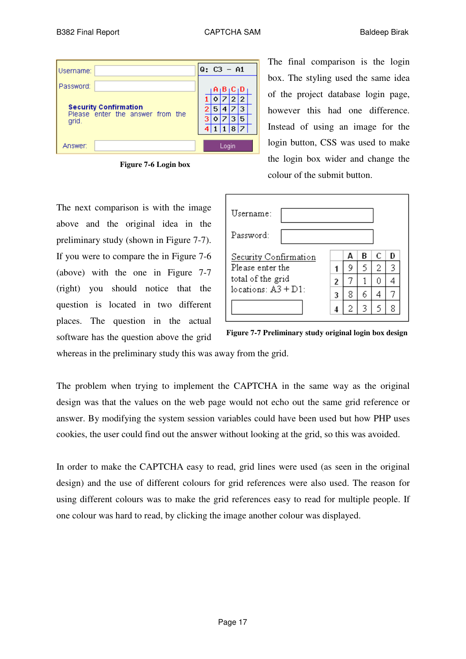| Username: |                                                                  | $Q: C3 - A1$ |   |       |              |         |  |
|-----------|------------------------------------------------------------------|--------------|---|-------|--------------|---------|--|
| Password: |                                                                  |              |   |       |              | A B C D |  |
|           |                                                                  |              |   |       | $\mathbf{2}$ | 12.     |  |
|           | <b>Security Confirmation</b><br>Please enter the answer from the | 2            | 5 |       |              |         |  |
| grid.     |                                                                  |              |   |       |              | 5       |  |
|           |                                                                  |              |   |       | 1 1 8 7      |         |  |
| Answer:   |                                                                  |              |   | Login |              |         |  |

**Figure 7-6 Login box**

The next comparison is with the image above and the original idea in the preliminary study (shown in Figure 7-7). If you were to compare the in Figure 7-6 (above) with the one in Figure 7-7 (right) you should notice that the question is located in two different places. The question in the actual software has the question above the grid

| The final comparison is the login   |
|-------------------------------------|
| box. The styling used the same idea |
| of the project database login page, |
| however this had one difference.    |
| Instead of using an image for the   |
| login button, CSS was used to make  |
| the login box wider and change the  |
| colour of the submit button.        |

| Username:<br>Password: |   |   |   |   |   |  |
|------------------------|---|---|---|---|---|--|
| Security Confirmation  |   | Δ | в | C | D |  |
| Please enter the       |   | 9 | 5 | 2 | 3 |  |
| total of the grid      | 2 |   |   | n |   |  |
| locations: $A3 + D1$ : | 3 | 8 | 6 |   |   |  |
|                        |   |   |   |   | 8 |  |



whereas in the preliminary study this was away from the grid.

The problem when trying to implement the CAPTCHA in the same way as the original design was that the values on the web page would not echo out the same grid reference or answer. By modifying the system session variables could have been used but how PHP uses cookies, the user could find out the answer without looking at the grid, so this was avoided.

In order to make the CAPTCHA easy to read, grid lines were used (as seen in the original design) and the use of different colours for grid references were also used. The reason for using different colours was to make the grid references easy to read for multiple people. If one colour was hard to read, by clicking the image another colour was displayed.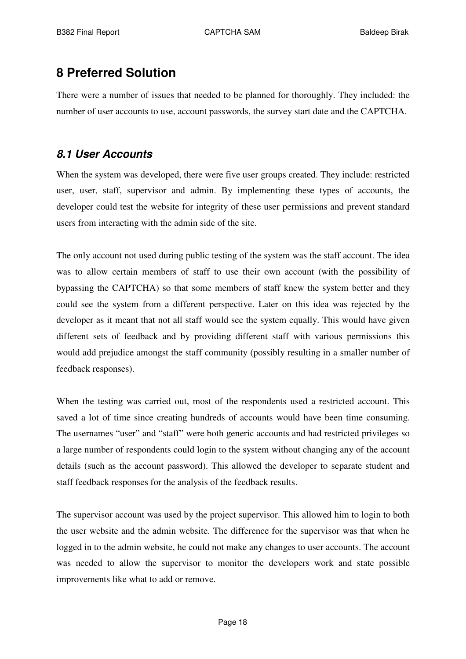# **8 Preferred Solution**

There were a number of issues that needed to be planned for thoroughly. They included: the number of user accounts to use, account passwords, the survey start date and the CAPTCHA.

# *8.1 User Accounts*

When the system was developed, there were five user groups created. They include: restricted user, user, staff, supervisor and admin. By implementing these types of accounts, the developer could test the website for integrity of these user permissions and prevent standard users from interacting with the admin side of the site.

The only account not used during public testing of the system was the staff account. The idea was to allow certain members of staff to use their own account (with the possibility of bypassing the CAPTCHA) so that some members of staff knew the system better and they could see the system from a different perspective. Later on this idea was rejected by the developer as it meant that not all staff would see the system equally. This would have given different sets of feedback and by providing different staff with various permissions this would add prejudice amongst the staff community (possibly resulting in a smaller number of feedback responses).

When the testing was carried out, most of the respondents used a restricted account. This saved a lot of time since creating hundreds of accounts would have been time consuming. The usernames "user" and "staff" were both generic accounts and had restricted privileges so a large number of respondents could login to the system without changing any of the account details (such as the account password). This allowed the developer to separate student and staff feedback responses for the analysis of the feedback results.

The supervisor account was used by the project supervisor. This allowed him to login to both the user website and the admin website. The difference for the supervisor was that when he logged in to the admin website, he could not make any changes to user accounts. The account was needed to allow the supervisor to monitor the developers work and state possible improvements like what to add or remove.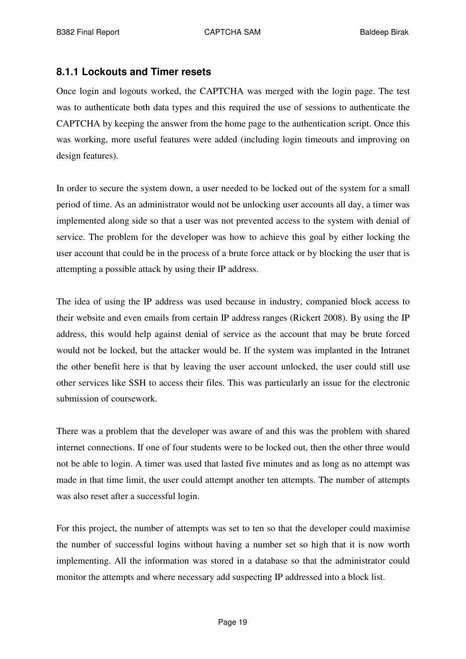### **8.1.1 Lockouts and Timer resets**

Once login and logouts worked, the CAPTCHA was merged with the login page. The test was to authenticate both data types and this required the use of sessions to authenticate the CAPTCHA by keeping the answer from the home page to the authentication script. Once this was working, more useful features were added (including login timeouts and improving on design features).

In order to secure the system down, a user needed to be locked out of the system for a small period of time. As an administrator would not be unlocking user accounts all day, a timer was implemented along side so that a user was not prevented access to the system with denial of service. The problem for the developer was how to achieve this goal by either locking the user account that could be in the process of a brute force attack or by blocking the user that is attempting a possible attack by using their IP address.

The idea of using the IP address was used because in industry, companied block access to their website and even emails from certain IP address ranges (Rickert 2008). By using the IP address, this would help against denial of service as the account that may be brute forced would not be locked, but the attacker would be. If the system was implanted in the Intranet the other benefit here is that by leaving the user account unlocked, the user could still use other services like SSH to access their files. This was particularly an issue for the electronic submission of coursework.

There was a problem that the developer was aware of and this was the problem with shared internet connections. If one of four students were to be locked out, then the other three would not be able to login. A timer was used that lasted five minutes and as long as no attempt was made in that time limit, the user could attempt another ten attempts. The number of attempts was also reset after a successful login.

For this project, the number of attempts was set to ten so that the developer could maximise the number of successful logins without having a number set so high that it is now worth implementing. All the information was stored in a database so that the administrator could monitor the attempts and where necessary add suspecting IP addressed into a block list.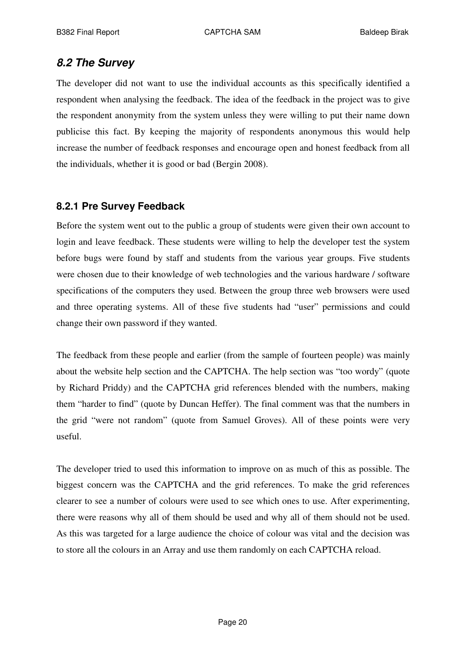## *8.2 The Survey*

The developer did not want to use the individual accounts as this specifically identified a respondent when analysing the feedback. The idea of the feedback in the project was to give the respondent anonymity from the system unless they were willing to put their name down publicise this fact. By keeping the majority of respondents anonymous this would help increase the number of feedback responses and encourage open and honest feedback from all the individuals, whether it is good or bad (Bergin 2008).

## **8.2.1 Pre Survey Feedback**

Before the system went out to the public a group of students were given their own account to login and leave feedback. These students were willing to help the developer test the system before bugs were found by staff and students from the various year groups. Five students were chosen due to their knowledge of web technologies and the various hardware / software specifications of the computers they used. Between the group three web browsers were used and three operating systems. All of these five students had "user" permissions and could change their own password if they wanted.

The feedback from these people and earlier (from the sample of fourteen people) was mainly about the website help section and the CAPTCHA. The help section was "too wordy" (quote by Richard Priddy) and the CAPTCHA grid references blended with the numbers, making them "harder to find" (quote by Duncan Heffer). The final comment was that the numbers in the grid "were not random" (quote from Samuel Groves). All of these points were very useful.

The developer tried to used this information to improve on as much of this as possible. The biggest concern was the CAPTCHA and the grid references. To make the grid references clearer to see a number of colours were used to see which ones to use. After experimenting, there were reasons why all of them should be used and why all of them should not be used. As this was targeted for a large audience the choice of colour was vital and the decision was to store all the colours in an Array and use them randomly on each CAPTCHA reload.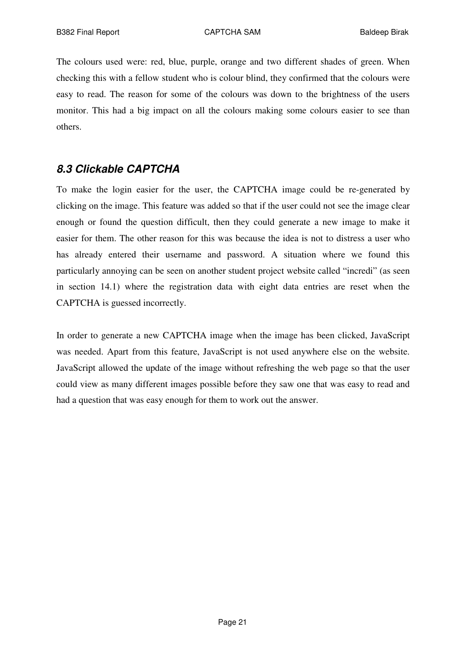The colours used were: red, blue, purple, orange and two different shades of green. When checking this with a fellow student who is colour blind, they confirmed that the colours were easy to read. The reason for some of the colours was down to the brightness of the users monitor. This had a big impact on all the colours making some colours easier to see than others.

## *8.3 Clickable CAPTCHA*

To make the login easier for the user, the CAPTCHA image could be re-generated by clicking on the image. This feature was added so that if the user could not see the image clear enough or found the question difficult, then they could generate a new image to make it easier for them. The other reason for this was because the idea is not to distress a user who has already entered their username and password. A situation where we found this particularly annoying can be seen on another student project website called "incredi" (as seen in section 14.1) where the registration data with eight data entries are reset when the CAPTCHA is guessed incorrectly.

In order to generate a new CAPTCHA image when the image has been clicked, JavaScript was needed. Apart from this feature, JavaScript is not used anywhere else on the website. JavaScript allowed the update of the image without refreshing the web page so that the user could view as many different images possible before they saw one that was easy to read and had a question that was easy enough for them to work out the answer.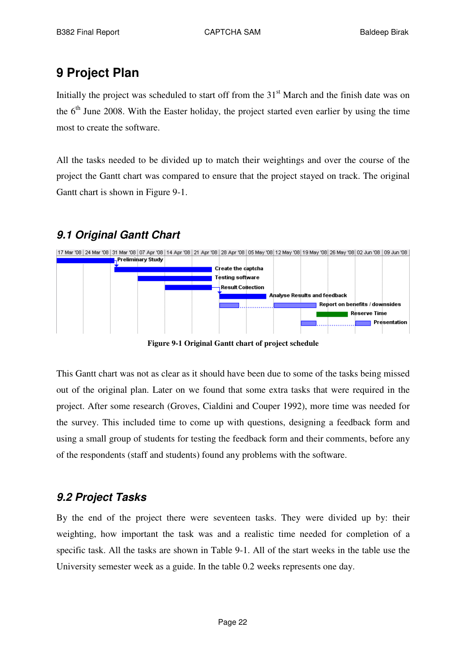# **9 Project Plan**

Initially the project was scheduled to start off from the 31<sup>st</sup> March and the finish date was on the 6<sup>th</sup> June 2008. With the Easter holiday, the project started even earlier by using the time most to create the software.

All the tasks needed to be divided up to match their weightings and over the course of the project the Gantt chart was compared to ensure that the project stayed on track. The original Gantt chart is shown in Figure 9-1.

# *9.1 Original Gantt Chart*



**Figure 9-1 Original Gantt chart of project schedule**

This Gantt chart was not as clear as it should have been due to some of the tasks being missed out of the original plan. Later on we found that some extra tasks that were required in the project. After some research (Groves, Cialdini and Couper 1992), more time was needed for the survey. This included time to come up with questions, designing a feedback form and using a small group of students for testing the feedback form and their comments, before any of the respondents (staff and students) found any problems with the software.

# *9.2 Project Tasks*

By the end of the project there were seventeen tasks. They were divided up by: their weighting, how important the task was and a realistic time needed for completion of a specific task. All the tasks are shown in Table 9-1. All of the start weeks in the table use the University semester week as a guide. In the table 0.2 weeks represents one day.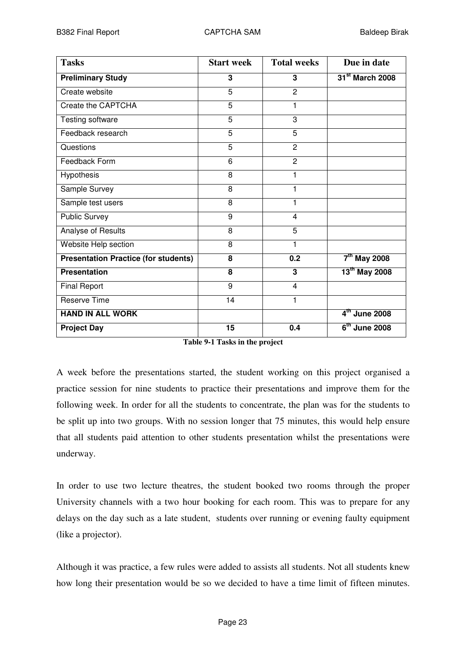| <b>Tasks</b>                                | <b>Start week</b>       | <b>Total weeks</b> | Due in date                 |
|---------------------------------------------|-------------------------|--------------------|-----------------------------|
| <b>Preliminary Study</b>                    | $\overline{\mathbf{3}}$ | 3                  | 31 <sup>st</sup> March 2008 |
| Create website                              | 5                       | $\overline{2}$     |                             |
| Create the CAPTCHA                          | 5                       | 1                  |                             |
| Testing software                            | $\overline{5}$          | 3                  |                             |
| Feedback research                           | 5                       | 5                  |                             |
| Questions                                   | 5                       | $\overline{2}$     |                             |
| Feedback Form                               | 6                       | $\overline{2}$     |                             |
| Hypothesis                                  | 8                       | 1                  |                             |
| Sample Survey                               | 8                       | 1                  |                             |
| Sample test users                           | 8                       | 1                  |                             |
| <b>Public Survey</b>                        | 9                       | 4                  |                             |
| Analyse of Results                          | 8                       | 5                  |                             |
| Website Help section                        | 8                       | 1                  |                             |
| <b>Presentation Practice (for students)</b> | 8                       | 0.2                | $7th$ May 2008              |
| <b>Presentation</b>                         | 8                       | 3                  | 13 <sup>th</sup> May 2008   |
| <b>Final Report</b>                         | 9                       | $\overline{4}$     |                             |
| <b>Reserve Time</b>                         | 14                      | 1                  |                             |
| <b>HAND IN ALL WORK</b>                     |                         |                    | $4th$ June 2008             |
| <b>Project Day</b>                          | 15                      | 0.4                | $6th$ June 2008             |

A week before the presentations started, the student working on this project organised a practice session for nine students to practice their presentations and improve them for the following week. In order for all the students to concentrate, the plan was for the students to be split up into two groups. With no session longer that 75 minutes, this would help ensure that all students paid attention to other students presentation whilst the presentations were underway.

In order to use two lecture theatres, the student booked two rooms through the proper University channels with a two hour booking for each room. This was to prepare for any delays on the day such as a late student, students over running or evening faulty equipment (like a projector).

Although it was practice, a few rules were added to assists all students. Not all students knew how long their presentation would be so we decided to have a time limit of fifteen minutes.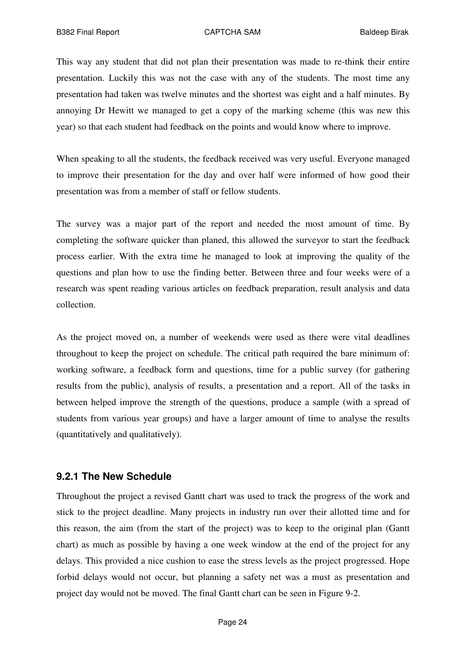This way any student that did not plan their presentation was made to re-think their entire presentation. Luckily this was not the case with any of the students. The most time any presentation had taken was twelve minutes and the shortest was eight and a half minutes. By annoying Dr Hewitt we managed to get a copy of the marking scheme (this was new this year) so that each student had feedback on the points and would know where to improve.

When speaking to all the students, the feedback received was very useful. Everyone managed to improve their presentation for the day and over half were informed of how good their presentation was from a member of staff or fellow students.

The survey was a major part of the report and needed the most amount of time. By completing the software quicker than planed, this allowed the surveyor to start the feedback process earlier. With the extra time he managed to look at improving the quality of the questions and plan how to use the finding better. Between three and four weeks were of a research was spent reading various articles on feedback preparation, result analysis and data collection.

As the project moved on, a number of weekends were used as there were vital deadlines throughout to keep the project on schedule. The critical path required the bare minimum of: working software, a feedback form and questions, time for a public survey (for gathering results from the public), analysis of results, a presentation and a report. All of the tasks in between helped improve the strength of the questions, produce a sample (with a spread of students from various year groups) and have a larger amount of time to analyse the results (quantitatively and qualitatively).

#### **9.2.1 The New Schedule**

Throughout the project a revised Gantt chart was used to track the progress of the work and stick to the project deadline. Many projects in industry run over their allotted time and for this reason, the aim (from the start of the project) was to keep to the original plan (Gantt chart) as much as possible by having a one week window at the end of the project for any delays. This provided a nice cushion to ease the stress levels as the project progressed. Hope forbid delays would not occur, but planning a safety net was a must as presentation and project day would not be moved. The final Gantt chart can be seen in Figure 9-2.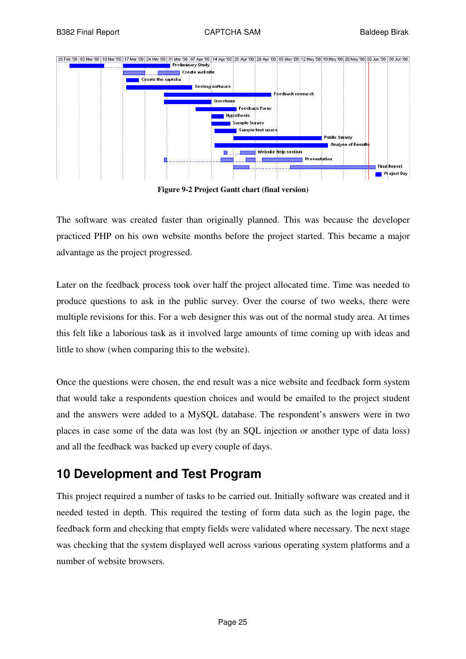

**Figure 9-2 Project Gantt chart (final version)**

The software was created faster than originally planned. This was because the developer practiced PHP on his own website months before the project started. This became a major advantage as the project progressed.

Later on the feedback process took over half the project allocated time. Time was needed to produce questions to ask in the public survey. Over the course of two weeks, there were multiple revisions for this. For a web designer this was out of the normal study area. At times this felt like a laborious task as it involved large amounts of time coming up with ideas and little to show (when comparing this to the website).

Once the questions were chosen, the end result was a nice website and feedback form system that would take a respondents question choices and would be emailed to the project student and the answers were added to a MySQL database. The respondent's answers were in two places in case some of the data was lost (by an SQL injection or another type of data loss) and all the feedback was backed up every couple of days.

# **10 Development and Test Program**

This project required a number of tasks to be carried out. Initially software was created and it needed tested in depth. This required the testing of form data such as the login page, the feedback form and checking that empty fields were validated where necessary. The next stage was checking that the system displayed well across various operating system platforms and a number of website browsers.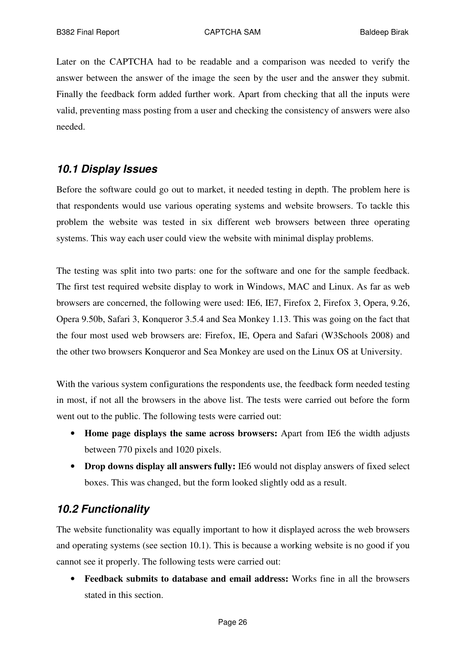Later on the CAPTCHA had to be readable and a comparison was needed to verify the answer between the answer of the image the seen by the user and the answer they submit. Finally the feedback form added further work. Apart from checking that all the inputs were valid, preventing mass posting from a user and checking the consistency of answers were also needed.

## *10.1 Display Issues*

Before the software could go out to market, it needed testing in depth. The problem here is that respondents would use various operating systems and website browsers. To tackle this problem the website was tested in six different web browsers between three operating systems. This way each user could view the website with minimal display problems.

The testing was split into two parts: one for the software and one for the sample feedback. The first test required website display to work in Windows, MAC and Linux. As far as web browsers are concerned, the following were used: IE6, IE7, Firefox 2, Firefox 3, Opera, 9.26, Opera 9.50b, Safari 3, Konqueror 3.5.4 and Sea Monkey 1.13. This was going on the fact that the four most used web browsers are: Firefox, IE, Opera and Safari (W3Schools 2008) and the other two browsers Konqueror and Sea Monkey are used on the Linux OS at University.

With the various system configurations the respondents use, the feedback form needed testing in most, if not all the browsers in the above list. The tests were carried out before the form went out to the public. The following tests were carried out:

- **Home page displays the same across browsers:** Apart from IE6 the width adjusts between 770 pixels and 1020 pixels.
- **Drop downs display all answers fully:** IE6 would not display answers of fixed select boxes. This was changed, but the form looked slightly odd as a result.

## *10.2 Functionality*

The website functionality was equally important to how it displayed across the web browsers and operating systems (see section 10.1). This is because a working website is no good if you cannot see it properly. The following tests were carried out:

• **Feedback submits to database and email address:** Works fine in all the browsers stated in this section.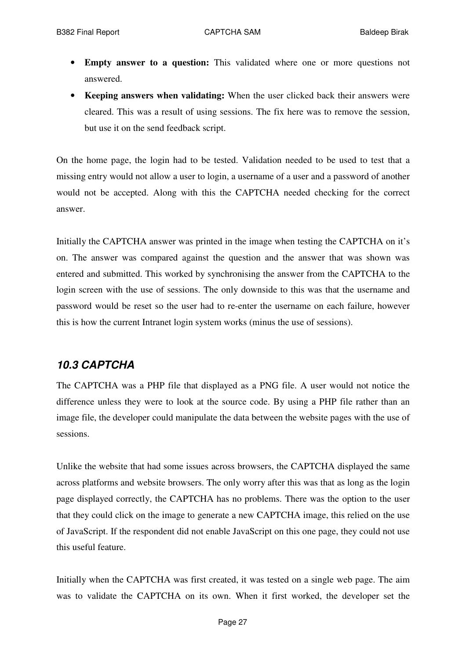- **Empty answer to a question:** This validated where one or more questions not answered.
- **Keeping answers when validating:** When the user clicked back their answers were cleared. This was a result of using sessions. The fix here was to remove the session, but use it on the send feedback script.

On the home page, the login had to be tested. Validation needed to be used to test that a missing entry would not allow a user to login, a username of a user and a password of another would not be accepted. Along with this the CAPTCHA needed checking for the correct answer.

Initially the CAPTCHA answer was printed in the image when testing the CAPTCHA on it's on. The answer was compared against the question and the answer that was shown was entered and submitted. This worked by synchronising the answer from the CAPTCHA to the login screen with the use of sessions. The only downside to this was that the username and password would be reset so the user had to re-enter the username on each failure, however this is how the current Intranet login system works (minus the use of sessions).

### *10.3 CAPTCHA*

The CAPTCHA was a PHP file that displayed as a PNG file. A user would not notice the difference unless they were to look at the source code. By using a PHP file rather than an image file, the developer could manipulate the data between the website pages with the use of sessions.

Unlike the website that had some issues across browsers, the CAPTCHA displayed the same across platforms and website browsers. The only worry after this was that as long as the login page displayed correctly, the CAPTCHA has no problems. There was the option to the user that they could click on the image to generate a new CAPTCHA image, this relied on the use of JavaScript. If the respondent did not enable JavaScript on this one page, they could not use this useful feature.

Initially when the CAPTCHA was first created, it was tested on a single web page. The aim was to validate the CAPTCHA on its own. When it first worked, the developer set the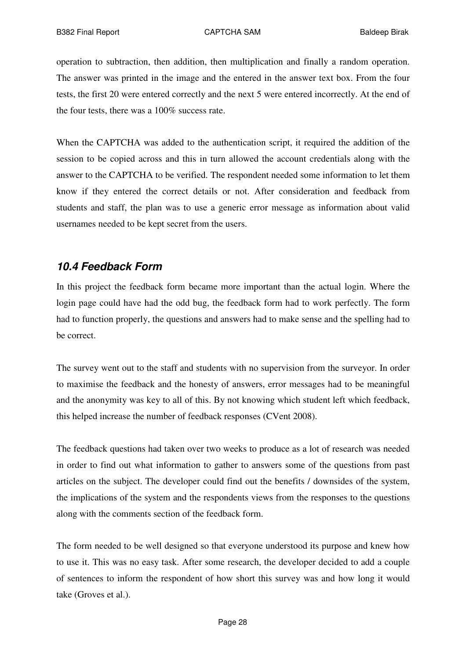operation to subtraction, then addition, then multiplication and finally a random operation. The answer was printed in the image and the entered in the answer text box. From the four tests, the first 20 were entered correctly and the next 5 were entered incorrectly. At the end of the four tests, there was a 100% success rate.

When the CAPTCHA was added to the authentication script, it required the addition of the session to be copied across and this in turn allowed the account credentials along with the answer to the CAPTCHA to be verified. The respondent needed some information to let them know if they entered the correct details or not. After consideration and feedback from students and staff, the plan was to use a generic error message as information about valid usernames needed to be kept secret from the users.

## *10.4 Feedback Form*

In this project the feedback form became more important than the actual login. Where the login page could have had the odd bug, the feedback form had to work perfectly. The form had to function properly, the questions and answers had to make sense and the spelling had to be correct.

The survey went out to the staff and students with no supervision from the surveyor. In order to maximise the feedback and the honesty of answers, error messages had to be meaningful and the anonymity was key to all of this. By not knowing which student left which feedback, this helped increase the number of feedback responses (CVent 2008).

The feedback questions had taken over two weeks to produce as a lot of research was needed in order to find out what information to gather to answers some of the questions from past articles on the subject. The developer could find out the benefits / downsides of the system, the implications of the system and the respondents views from the responses to the questions along with the comments section of the feedback form.

The form needed to be well designed so that everyone understood its purpose and knew how to use it. This was no easy task. After some research, the developer decided to add a couple of sentences to inform the respondent of how short this survey was and how long it would take (Groves et al.).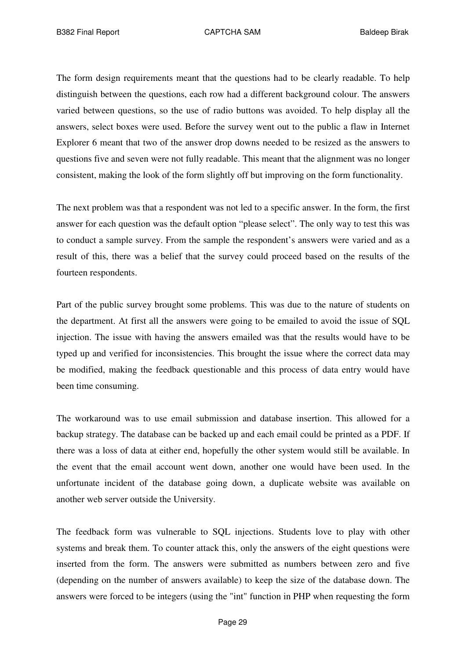The form design requirements meant that the questions had to be clearly readable. To help distinguish between the questions, each row had a different background colour. The answers varied between questions, so the use of radio buttons was avoided. To help display all the answers, select boxes were used. Before the survey went out to the public a flaw in Internet Explorer 6 meant that two of the answer drop downs needed to be resized as the answers to questions five and seven were not fully readable. This meant that the alignment was no longer consistent, making the look of the form slightly off but improving on the form functionality.

The next problem was that a respondent was not led to a specific answer. In the form, the first answer for each question was the default option "please select". The only way to test this was to conduct a sample survey. From the sample the respondent's answers were varied and as a result of this, there was a belief that the survey could proceed based on the results of the fourteen respondents.

Part of the public survey brought some problems. This was due to the nature of students on the department. At first all the answers were going to be emailed to avoid the issue of SQL injection. The issue with having the answers emailed was that the results would have to be typed up and verified for inconsistencies. This brought the issue where the correct data may be modified, making the feedback questionable and this process of data entry would have been time consuming.

The workaround was to use email submission and database insertion. This allowed for a backup strategy. The database can be backed up and each email could be printed as a PDF. If there was a loss of data at either end, hopefully the other system would still be available. In the event that the email account went down, another one would have been used. In the unfortunate incident of the database going down, a duplicate website was available on another web server outside the University.

The feedback form was vulnerable to SQL injections. Students love to play with other systems and break them. To counter attack this, only the answers of the eight questions were inserted from the form. The answers were submitted as numbers between zero and five (depending on the number of answers available) to keep the size of the database down. The answers were forced to be integers (using the "int" function in PHP when requesting the form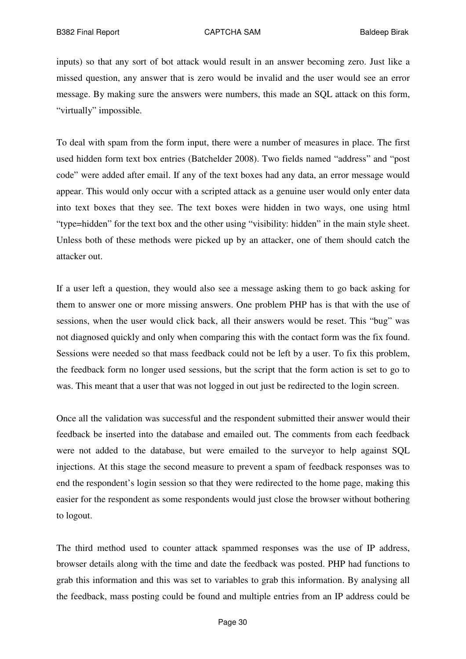inputs) so that any sort of bot attack would result in an answer becoming zero. Just like a missed question, any answer that is zero would be invalid and the user would see an error message. By making sure the answers were numbers, this made an SQL attack on this form, "virtually" impossible.

To deal with spam from the form input, there were a number of measures in place. The first used hidden form text box entries (Batchelder 2008). Two fields named "address" and "post code" were added after email. If any of the text boxes had any data, an error message would appear. This would only occur with a scripted attack as a genuine user would only enter data into text boxes that they see. The text boxes were hidden in two ways, one using html "type=hidden" for the text box and the other using "visibility: hidden" in the main style sheet. Unless both of these methods were picked up by an attacker, one of them should catch the attacker out.

If a user left a question, they would also see a message asking them to go back asking for them to answer one or more missing answers. One problem PHP has is that with the use of sessions, when the user would click back, all their answers would be reset. This "bug" was not diagnosed quickly and only when comparing this with the contact form was the fix found. Sessions were needed so that mass feedback could not be left by a user. To fix this problem, the feedback form no longer used sessions, but the script that the form action is set to go to was. This meant that a user that was not logged in out just be redirected to the login screen.

Once all the validation was successful and the respondent submitted their answer would their feedback be inserted into the database and emailed out. The comments from each feedback were not added to the database, but were emailed to the surveyor to help against SQL injections. At this stage the second measure to prevent a spam of feedback responses was to end the respondent's login session so that they were redirected to the home page, making this easier for the respondent as some respondents would just close the browser without bothering to logout.

The third method used to counter attack spammed responses was the use of IP address, browser details along with the time and date the feedback was posted. PHP had functions to grab this information and this was set to variables to grab this information. By analysing all the feedback, mass posting could be found and multiple entries from an IP address could be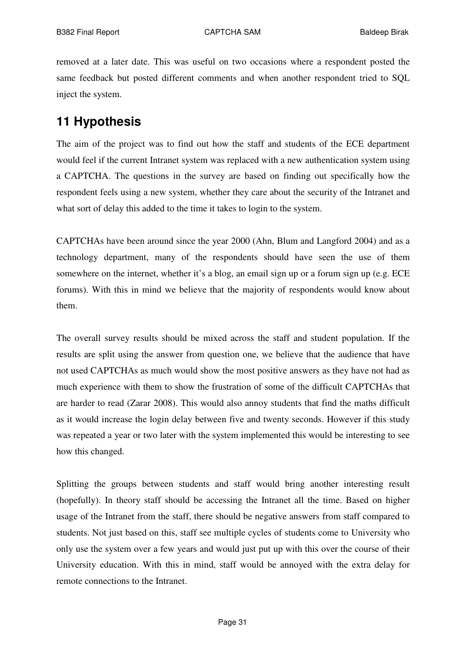removed at a later date. This was useful on two occasions where a respondent posted the same feedback but posted different comments and when another respondent tried to SQL inject the system.

# **11 Hypothesis**

The aim of the project was to find out how the staff and students of the ECE department would feel if the current Intranet system was replaced with a new authentication system using a CAPTCHA. The questions in the survey are based on finding out specifically how the respondent feels using a new system, whether they care about the security of the Intranet and what sort of delay this added to the time it takes to login to the system.

CAPTCHAs have been around since the year 2000 (Ahn, Blum and Langford 2004) and as a technology department, many of the respondents should have seen the use of them somewhere on the internet, whether it's a blog, an email sign up or a forum sign up (e.g. ECE forums). With this in mind we believe that the majority of respondents would know about them.

The overall survey results should be mixed across the staff and student population. If the results are split using the answer from question one, we believe that the audience that have not used CAPTCHAs as much would show the most positive answers as they have not had as much experience with them to show the frustration of some of the difficult CAPTCHAs that are harder to read (Zarar 2008). This would also annoy students that find the maths difficult as it would increase the login delay between five and twenty seconds. However if this study was repeated a year or two later with the system implemented this would be interesting to see how this changed.

Splitting the groups between students and staff would bring another interesting result (hopefully). In theory staff should be accessing the Intranet all the time. Based on higher usage of the Intranet from the staff, there should be negative answers from staff compared to students. Not just based on this, staff see multiple cycles of students come to University who only use the system over a few years and would just put up with this over the course of their University education. With this in mind, staff would be annoyed with the extra delay for remote connections to the Intranet.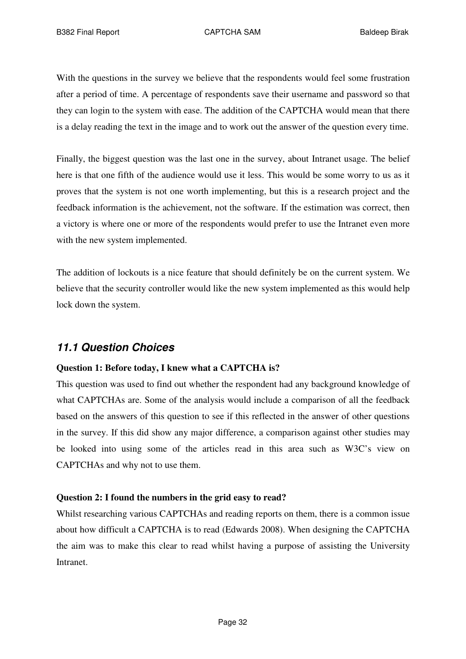With the questions in the survey we believe that the respondents would feel some frustration after a period of time. A percentage of respondents save their username and password so that they can login to the system with ease. The addition of the CAPTCHA would mean that there is a delay reading the text in the image and to work out the answer of the question every time.

Finally, the biggest question was the last one in the survey, about Intranet usage. The belief here is that one fifth of the audience would use it less. This would be some worry to us as it proves that the system is not one worth implementing, but this is a research project and the feedback information is the achievement, not the software. If the estimation was correct, then a victory is where one or more of the respondents would prefer to use the Intranet even more with the new system implemented.

The addition of lockouts is a nice feature that should definitely be on the current system. We believe that the security controller would like the new system implemented as this would help lock down the system.

## *11.1 Question Choices*

#### **Question 1: Before today, I knew what a CAPTCHA is?**

This question was used to find out whether the respondent had any background knowledge of what CAPTCHAs are. Some of the analysis would include a comparison of all the feedback based on the answers of this question to see if this reflected in the answer of other questions in the survey. If this did show any major difference, a comparison against other studies may be looked into using some of the articles read in this area such as W3C's view on CAPTCHAs and why not to use them.

#### **Question 2: I found the numbers in the grid easy to read?**

Whilst researching various CAPTCHAs and reading reports on them, there is a common issue about how difficult a CAPTCHA is to read (Edwards 2008). When designing the CAPTCHA the aim was to make this clear to read whilst having a purpose of assisting the University **Intranet**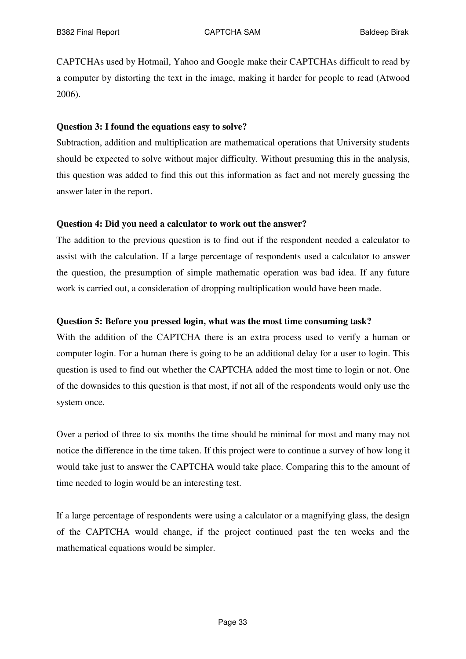CAPTCHAs used by Hotmail, Yahoo and Google make their CAPTCHAs difficult to read by a computer by distorting the text in the image, making it harder for people to read (Atwood 2006).

#### **Question 3: I found the equations easy to solve?**

Subtraction, addition and multiplication are mathematical operations that University students should be expected to solve without major difficulty. Without presuming this in the analysis, this question was added to find this out this information as fact and not merely guessing the answer later in the report.

#### **Question 4: Did you need a calculator to work out the answer?**

The addition to the previous question is to find out if the respondent needed a calculator to assist with the calculation. If a large percentage of respondents used a calculator to answer the question, the presumption of simple mathematic operation was bad idea. If any future work is carried out, a consideration of dropping multiplication would have been made.

#### **Question 5: Before you pressed login, what was the most time consuming task?**

With the addition of the CAPTCHA there is an extra process used to verify a human or computer login. For a human there is going to be an additional delay for a user to login. This question is used to find out whether the CAPTCHA added the most time to login or not. One of the downsides to this question is that most, if not all of the respondents would only use the system once.

Over a period of three to six months the time should be minimal for most and many may not notice the difference in the time taken. If this project were to continue a survey of how long it would take just to answer the CAPTCHA would take place. Comparing this to the amount of time needed to login would be an interesting test.

If a large percentage of respondents were using a calculator or a magnifying glass, the design of the CAPTCHA would change, if the project continued past the ten weeks and the mathematical equations would be simpler.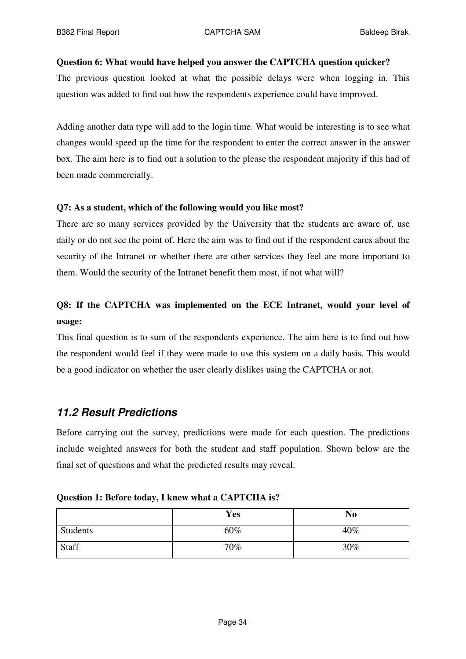#### **Question 6: What would have helped you answer the CAPTCHA question quicker?**

The previous question looked at what the possible delays were when logging in. This question was added to find out how the respondents experience could have improved.

Adding another data type will add to the login time. What would be interesting is to see what changes would speed up the time for the respondent to enter the correct answer in the answer box. The aim here is to find out a solution to the please the respondent majority if this had of been made commercially.

#### **Q7: As a student, which of the following would you like most?**

There are so many services provided by the University that the students are aware of, use daily or do not see the point of. Here the aim was to find out if the respondent cares about the security of the Intranet or whether there are other services they feel are more important to them. Would the security of the Intranet benefit them most, if not what will?

## **Q8: If the CAPTCHA was implemented on the ECE Intranet, would your level of usage:**

This final question is to sum of the respondents experience. The aim here is to find out how the respondent would feel if they were made to use this system on a daily basis. This would be a good indicator on whether the user clearly dislikes using the CAPTCHA or not.

## *11.2 Result Predictions*

Before carrying out the survey, predictions were made for each question. The predictions include weighted answers for both the student and staff population. Shown below are the final set of questions and what the predicted results may reveal.

|  |  |  | Question 1: Before today, I knew what a CAPTCHA is? |
|--|--|--|-----------------------------------------------------|
|--|--|--|-----------------------------------------------------|

|          | Yes | N <sub>0</sub> |
|----------|-----|----------------|
| Students | 60% | 40%            |
| Staff    | 70% | 30%            |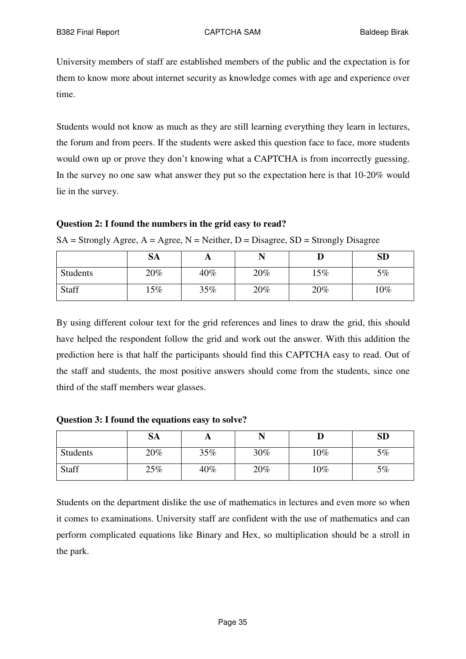University members of staff are established members of the public and the expectation is for them to know more about internet security as knowledge comes with age and experience over time.

Students would not know as much as they are still learning everything they learn in lectures, the forum and from peers. If the students were asked this question face to face, more students would own up or prove they don't knowing what a CAPTCHA is from incorrectly guessing. In the survey no one saw what answer they put so the expectation here is that 10-20% would lie in the survey.

#### **Question 2: I found the numbers in the grid easy to read?**

 $SA =$  Strongly Agree,  $A =$  Agree,  $N =$  Neither,  $D =$  Disagree,  $SD =$  Strongly Disagree

|          | <b>SA</b> | A   |     |     | <b>SD</b> |
|----------|-----------|-----|-----|-----|-----------|
| Students | 20%       | 40% | 20% | 15% | 5%        |
| Staff    | $15\%$    | 35% | 20% | 20% | $10\%$    |

By using different colour text for the grid references and lines to draw the grid, this should have helped the respondent follow the grid and work out the answer. With this addition the prediction here is that half the participants should find this CAPTCHA easy to read. Out of the staff and students, the most positive answers should come from the students, since one third of the staff members wear glasses.

**Question 3: I found the equations easy to solve?**

|              | <b>SA</b> | A   |     |        | <b>SD</b> |
|--------------|-----------|-----|-----|--------|-----------|
| Students     | 20%       | 35% | 30% | $10\%$ | 5%        |
| <b>Staff</b> | 25%       | 40% | 20% | $10\%$ | 5%        |

Students on the department dislike the use of mathematics in lectures and even more so when it comes to examinations. University staff are confident with the use of mathematics and can perform complicated equations like Binary and Hex, so multiplication should be a stroll in the park.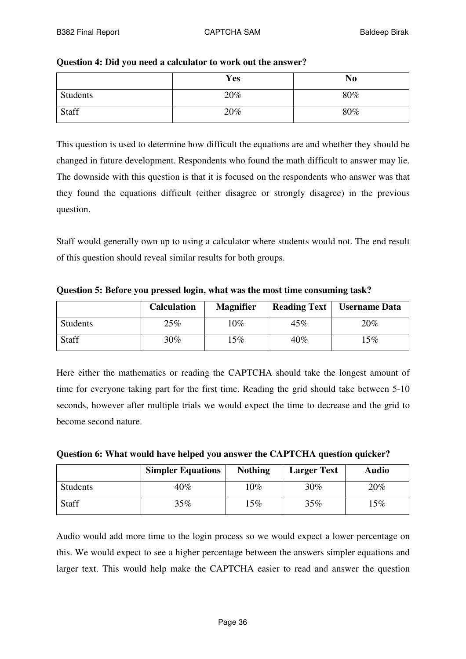| Question 4: Did you need a calculator to work out the answer? |
|---------------------------------------------------------------|
|---------------------------------------------------------------|

|              | <b>Yes</b> | N <sub>0</sub> |
|--------------|------------|----------------|
| Students     | 20%        | 80%            |
| <b>Staff</b> | 20%        | 80%            |

This question is used to determine how difficult the equations are and whether they should be changed in future development. Respondents who found the math difficult to answer may lie. The downside with this question is that it is focused on the respondents who answer was that they found the equations difficult (either disagree or strongly disagree) in the previous question.

Staff would generally own up to using a calculator where students would not. The end result of this question should reveal similar results for both groups.

**Question 5: Before you pressed login, what was the most time consuming task?**

|              | <b>Calculation</b> | <b>Magnifier</b> | <b>Reading Text</b> | <b>Username Data</b> |
|--------------|--------------------|------------------|---------------------|----------------------|
| Students     | 25%                | $10\%$           | 45%                 | 20%                  |
| <b>Staff</b> | $30\%$             | 15%              | 40%                 | $15\%$               |

Here either the mathematics or reading the CAPTCHA should take the longest amount of time for everyone taking part for the first time. Reading the grid should take between 5-10 seconds, however after multiple trials we would expect the time to decrease and the grid to become second nature.

|  | Question 6: What would have helped you answer the CAPTCHA question quicker? |
|--|-----------------------------------------------------------------------------|
|--|-----------------------------------------------------------------------------|

|              | <b>Simpler Equations</b> | <b>Nothing</b> | <b>Larger Text</b> | <b>Audio</b> |
|--------------|--------------------------|----------------|--------------------|--------------|
| Students     | 40%                      | $0\%$          | 30%                | 20%          |
| <b>Staff</b> | 35%                      | $.5\%$         | $35\%$             | $15\%$       |

Audio would add more time to the login process so we would expect a lower percentage on this. We would expect to see a higher percentage between the answers simpler equations and larger text. This would help make the CAPTCHA easier to read and answer the question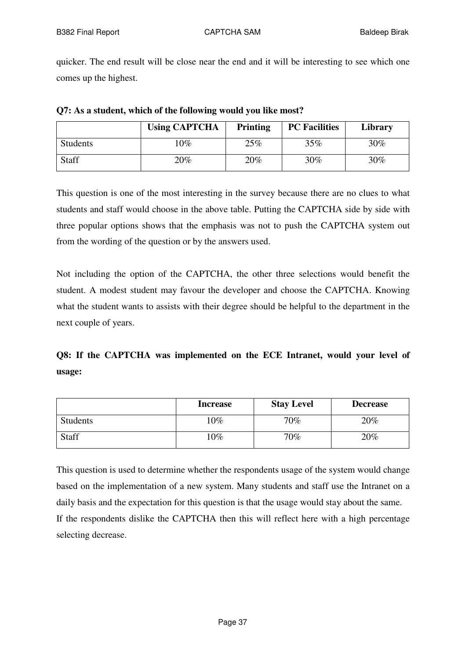quicker. The end result will be close near the end and it will be interesting to see which one comes up the highest.

|          | <b>Using CAPTCHA</b> | <b>Printing</b> | <b>PC</b> Facilities | Library |
|----------|----------------------|-----------------|----------------------|---------|
| Students | $10\%$               | 25%             | 35%                  | 30%     |
| Staff    | 20%                  | 20%             | 30%                  | 30%     |

| Q7: As a student, which of the following would you like most? |  |  |  |  |
|---------------------------------------------------------------|--|--|--|--|
|---------------------------------------------------------------|--|--|--|--|

This question is one of the most interesting in the survey because there are no clues to what students and staff would choose in the above table. Putting the CAPTCHA side by side with three popular options shows that the emphasis was not to push the CAPTCHA system out from the wording of the question or by the answers used.

Not including the option of the CAPTCHA, the other three selections would benefit the student. A modest student may favour the developer and choose the CAPTCHA. Knowing what the student wants to assists with their degree should be helpful to the department in the next couple of years.

# **Q8: If the CAPTCHA was implemented on the ECE Intranet, would your level of usage:**

|          | <b>Increase</b> | <b>Stay Level</b> | <b>Decrease</b> |
|----------|-----------------|-------------------|-----------------|
| Students | $10\%$          | 70%               | 20%             |
| Staff    | $10\%$          | 70%               | 20%             |

This question is used to determine whether the respondents usage of the system would change based on the implementation of a new system. Many students and staff use the Intranet on a daily basis and the expectation for this question is that the usage would stay about the same. If the respondents dislike the CAPTCHA then this will reflect here with a high percentage selecting decrease.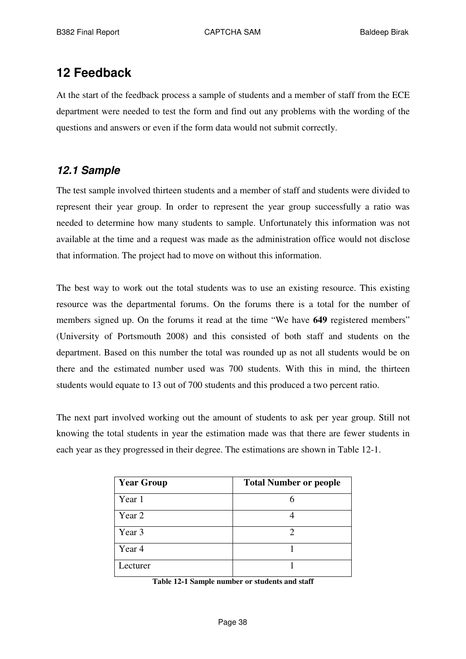# **12 Feedback**

At the start of the feedback process a sample of students and a member of staff from the ECE department were needed to test the form and find out any problems with the wording of the questions and answers or even if the form data would not submit correctly.

# *12.1 Sample*

The test sample involved thirteen students and a member of staff and students were divided to represent their year group. In order to represent the year group successfully a ratio was needed to determine how many students to sample. Unfortunately this information was not available at the time and a request was made as the administration office would not disclose that information. The project had to move on without this information.

The best way to work out the total students was to use an existing resource. This existing resource was the departmental forums. On the forums there is a total for the number of members signed up. On the forums it read at the time "We have **649** registered members" (University of Portsmouth 2008) and this consisted of both staff and students on the department. Based on this number the total was rounded up as not all students would be on there and the estimated number used was 700 students. With this in mind, the thirteen students would equate to 13 out of 700 students and this produced a two percent ratio.

The next part involved working out the amount of students to ask per year group. Still not knowing the total students in year the estimation made was that there are fewer students in each year as they progressed in their degree. The estimations are shown in Table 12-1.

| <b>Year Group</b> | <b>Total Number or people</b> |
|-------------------|-------------------------------|
| Year 1            |                               |
| Year 2            |                               |
| Year 3            |                               |
| Year 4            |                               |
| Lecturer          |                               |

**Table 12-1 Sample number or students and staff**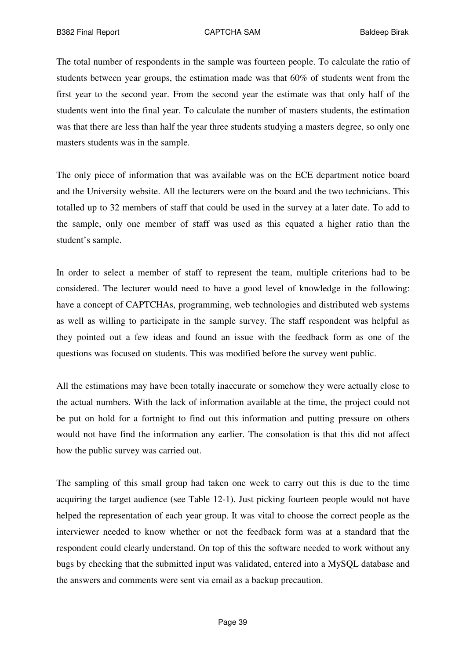The total number of respondents in the sample was fourteen people. To calculate the ratio of students between year groups, the estimation made was that 60% of students went from the first year to the second year. From the second year the estimate was that only half of the students went into the final year. To calculate the number of masters students, the estimation was that there are less than half the year three students studying a masters degree, so only one masters students was in the sample.

The only piece of information that was available was on the ECE department notice board and the University website. All the lecturers were on the board and the two technicians. This totalled up to 32 members of staff that could be used in the survey at a later date. To add to the sample, only one member of staff was used as this equated a higher ratio than the student's sample.

In order to select a member of staff to represent the team, multiple criterions had to be considered. The lecturer would need to have a good level of knowledge in the following: have a concept of CAPTCHAs, programming, web technologies and distributed web systems as well as willing to participate in the sample survey. The staff respondent was helpful as they pointed out a few ideas and found an issue with the feedback form as one of the questions was focused on students. This was modified before the survey went public.

All the estimations may have been totally inaccurate or somehow they were actually close to the actual numbers. With the lack of information available at the time, the project could not be put on hold for a fortnight to find out this information and putting pressure on others would not have find the information any earlier. The consolation is that this did not affect how the public survey was carried out.

The sampling of this small group had taken one week to carry out this is due to the time acquiring the target audience (see Table 12-1). Just picking fourteen people would not have helped the representation of each year group. It was vital to choose the correct people as the interviewer needed to know whether or not the feedback form was at a standard that the respondent could clearly understand. On top of this the software needed to work without any bugs by checking that the submitted input was validated, entered into a MySQL database and the answers and comments were sent via email as a backup precaution.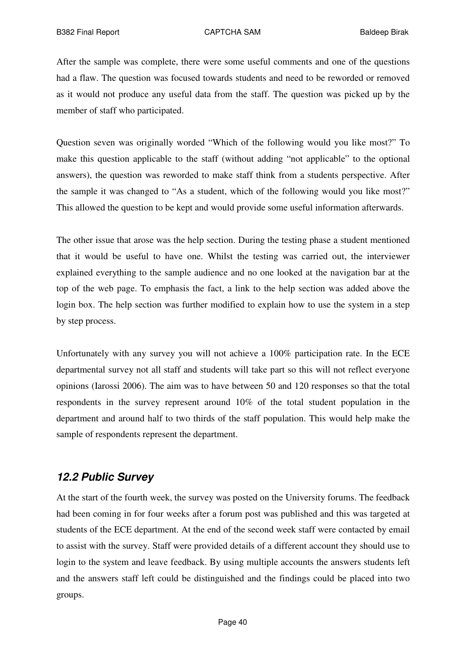After the sample was complete, there were some useful comments and one of the questions had a flaw. The question was focused towards students and need to be reworded or removed as it would not produce any useful data from the staff. The question was picked up by the member of staff who participated.

Question seven was originally worded "Which of the following would you like most?" To make this question applicable to the staff (without adding "not applicable" to the optional answers), the question was reworded to make staff think from a students perspective. After the sample it was changed to "As a student, which of the following would you like most?" This allowed the question to be kept and would provide some useful information afterwards.

The other issue that arose was the help section. During the testing phase a student mentioned that it would be useful to have one. Whilst the testing was carried out, the interviewer explained everything to the sample audience and no one looked at the navigation bar at the top of the web page. To emphasis the fact, a link to the help section was added above the login box. The help section was further modified to explain how to use the system in a step by step process.

Unfortunately with any survey you will not achieve a 100% participation rate. In the ECE departmental survey not all staff and students will take part so this will not reflect everyone opinions (Iarossi 2006). The aim was to have between 50 and 120 responses so that the total respondents in the survey represent around 10% of the total student population in the department and around half to two thirds of the staff population. This would help make the sample of respondents represent the department.

# *12.2 Public Survey*

At the start of the fourth week, the survey was posted on the University forums. The feedback had been coming in for four weeks after a forum post was published and this was targeted at students of the ECE department. At the end of the second week staff were contacted by email to assist with the survey. Staff were provided details of a different account they should use to login to the system and leave feedback. By using multiple accounts the answers students left and the answers staff left could be distinguished and the findings could be placed into two groups.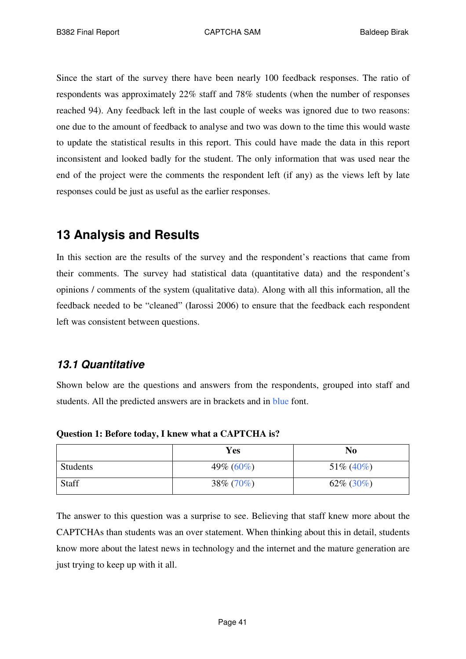Since the start of the survey there have been nearly 100 feedback responses. The ratio of respondents was approximately 22% staff and 78% students (when the number of responses reached 94). Any feedback left in the last couple of weeks was ignored due to two reasons: one due to the amount of feedback to analyse and two was down to the time this would waste to update the statistical results in this report. This could have made the data in this report inconsistent and looked badly for the student. The only information that was used near the end of the project were the comments the respondent left (if any) as the views left by late responses could be just as useful as the earlier responses.

# **13 Analysis and Results**

In this section are the results of the survey and the respondent's reactions that came from their comments. The survey had statistical data (quantitative data) and the respondent's opinions / comments of the system (qualitative data). Along with all this information, all the feedback needed to be "cleaned" (Iarossi 2006) to ensure that the feedback each respondent left was consistent between questions.

# *13.1 Quantitative*

Shown below are the questions and answers from the respondents, grouped into staff and students. All the predicted answers are in brackets and in blue font.

|          | Yes           | N <sub>0</sub> |
|----------|---------------|----------------|
| Students | 49\% $(60\%)$ | $51\% (40\%)$  |
| Staff    | $38\% (70\%)$ | $62\%$ (30%)   |

**Question 1: Before today, I knew what a CAPTCHA is?**

The answer to this question was a surprise to see. Believing that staff knew more about the CAPTCHAs than students was an over statement. When thinking about this in detail, students know more about the latest news in technology and the internet and the mature generation are just trying to keep up with it all.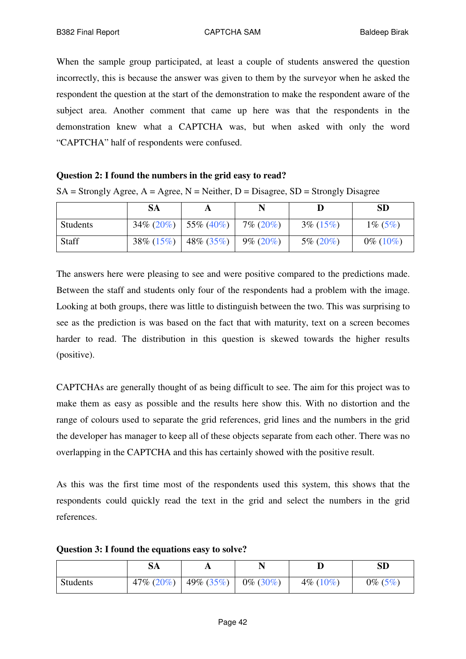When the sample group participated, at least a couple of students answered the question incorrectly, this is because the answer was given to them by the surveyor when he asked the respondent the question at the start of the demonstration to make the respondent aware of the subject area. Another comment that came up here was that the respondents in the demonstration knew what a CAPTCHA was, but when asked with only the word "CAPTCHA" half of respondents were confused.

#### **Question 2: I found the numbers in the grid easy to read?**

|              | SA            |               |              |              | <b>SD</b>   |
|--------------|---------------|---------------|--------------|--------------|-------------|
| Students     | $34\% (20\%)$ | $55\% (40\%)$ | $7\% (20\%)$ | $3\% (15\%)$ | $1\% (5\%)$ |
| <b>Staff</b> | $38\% (15\%)$ | $48\% (35\%)$ | $9\% (20\%)$ | $5\% (20\%)$ | $0\%$ (10%) |

 $SA =$  Strongly Agree,  $A =$  Agree,  $N =$  Neither,  $D =$  Disagree,  $SD =$  Strongly Disagree

The answers here were pleasing to see and were positive compared to the predictions made. Between the staff and students only four of the respondents had a problem with the image. Looking at both groups, there was little to distinguish between the two. This was surprising to see as the prediction is was based on the fact that with maturity, text on a screen becomes harder to read. The distribution in this question is skewed towards the higher results (positive).

CAPTCHAs are generally thought of as being difficult to see. The aim for this project was to make them as easy as possible and the results here show this. With no distortion and the range of colours used to separate the grid references, grid lines and the numbers in the grid the developer has manager to keep all of these objects separate from each other. There was no overlapping in the CAPTCHA and this has certainly showed with the positive result.

As this was the first time most of the respondents used this system, this shows that the respondents could quickly read the text in the grid and select the numbers in the grid references.

**Question 3: I found the equations easy to solve?**

|                 | SA            | A             |             |             | <b>SD</b>   |
|-----------------|---------------|---------------|-------------|-------------|-------------|
| <b>Students</b> | 47\% $(20\%)$ | $49\% (35\%)$ | $0\%$ (30%) | $4\%$ (10%) | $0\%~(5\%)$ |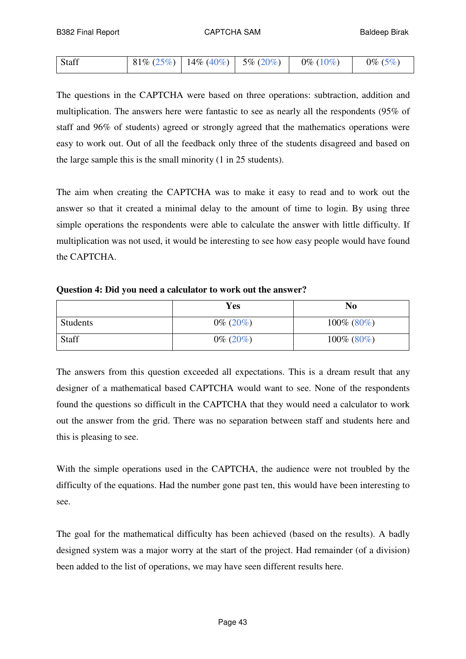| Staff | $181\% (25\%)$ $14\% (40\%)$ 5\% (20\%) |  | $0\%$ (10%) | $0\%~(5\%)$ |
|-------|-----------------------------------------|--|-------------|-------------|
|-------|-----------------------------------------|--|-------------|-------------|

The questions in the CAPTCHA were based on three operations: subtraction, addition and multiplication. The answers here were fantastic to see as nearly all the respondents (95% of staff and 96% of students) agreed or strongly agreed that the mathematics operations were easy to work out. Out of all the feedback only three of the students disagreed and based on the large sample this is the small minority (1 in 25 students).

The aim when creating the CAPTCHA was to make it easy to read and to work out the answer so that it created a minimal delay to the amount of time to login. By using three simple operations the respondents were able to calculate the answer with little difficulty. If multiplication was not used, it would be interesting to see how easy people would have found the CAPTCHA.

**Question 4: Did you need a calculator to work out the answer?**

|          | Yes          | N <sub>0</sub> |
|----------|--------------|----------------|
| Students | $0\% (20\%)$ | $100\%$ (80%)  |
| Staff    | $0\%$ (20%)  | $100\%$ (80%)  |

The answers from this question exceeded all expectations. This is a dream result that any designer of a mathematical based CAPTCHA would want to see. None of the respondents found the questions so difficult in the CAPTCHA that they would need a calculator to work out the answer from the grid. There was no separation between staff and students here and this is pleasing to see.

With the simple operations used in the CAPTCHA, the audience were not troubled by the difficulty of the equations. Had the number gone past ten, this would have been interesting to see.

The goal for the mathematical difficulty has been achieved (based on the results). A badly designed system was a major worry at the start of the project. Had remainder (of a division) been added to the list of operations, we may have seen different results here.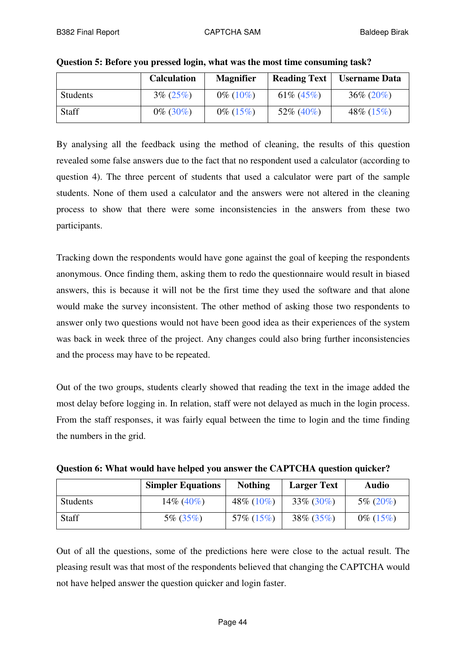|          | <b>Calculation</b> | <b>Magnifier</b> | <b>Reading Text</b> | <b>Username Data</b> |
|----------|--------------------|------------------|---------------------|----------------------|
| Students | $3\% (25\%)$       | $0\%$ (10%)      | 61\% $(45\%)$       | $36\% (20\%)$        |
| Staff    | $0\%$ (30%)        | $0\%$ (15%)      | $52\%$ (40%)        | 48\% $(15\%)$        |

|  | Question 5: Before you pressed login, what was the most time consuming task? |
|--|------------------------------------------------------------------------------|
|  |                                                                              |

By analysing all the feedback using the method of cleaning, the results of this question revealed some false answers due to the fact that no respondent used a calculator (according to question 4). The three percent of students that used a calculator were part of the sample students. None of them used a calculator and the answers were not altered in the cleaning process to show that there were some inconsistencies in the answers from these two participants.

Tracking down the respondents would have gone against the goal of keeping the respondents anonymous. Once finding them, asking them to redo the questionnaire would result in biased answers, this is because it will not be the first time they used the software and that alone would make the survey inconsistent. The other method of asking those two respondents to answer only two questions would not have been good idea as their experiences of the system was back in week three of the project. Any changes could also bring further inconsistencies and the process may have to be repeated.

Out of the two groups, students clearly showed that reading the text in the image added the most delay before logging in. In relation, staff were not delayed as much in the login process. From the staff responses, it was fairly equal between the time to login and the time finding the numbers in the grid.

|              | <b>Simpler Equations</b> | <b>Nothing</b> | <b>Larger Text</b> | <b>Audio</b> |  |
|--------------|--------------------------|----------------|--------------------|--------------|--|
| Students     | $14\%$ (40%)             | 48\% $(10\%)$  | $33\% (30\%)$      | $5\% (20\%)$ |  |
| <b>Staff</b> | $5\%$ (35%)              | $57\%$ (15%)   | $38\% (35\%)$      | $0\%$ (15%)  |  |

**Question 6: What would have helped you answer the CAPTCHA question quicker?**

Out of all the questions, some of the predictions here were close to the actual result. The pleasing result was that most of the respondents believed that changing the CAPTCHA would not have helped answer the question quicker and login faster.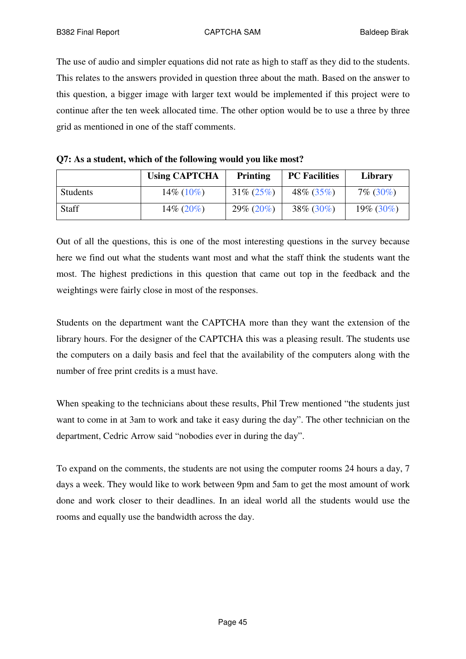The use of audio and simpler equations did not rate as high to staff as they did to the students. This relates to the answers provided in question three about the math. Based on the answer to this question, a bigger image with larger text would be implemented if this project were to continue after the ten week allocated time. The other option would be to use a three by three grid as mentioned in one of the staff comments.

| Q7: As a student, which of the following would you like most? |  |  |  |  |
|---------------------------------------------------------------|--|--|--|--|
|---------------------------------------------------------------|--|--|--|--|

|              | <b>Using CAPTCHA</b> | <b>Printing</b> | <b>PC</b> Facilities | Library      |
|--------------|----------------------|-----------------|----------------------|--------------|
| Students     | $14\%$ (10%)         | $31\% (25\%)$   | $48\% (35\%)$        | $7\%$ (30%)  |
| <b>Staff</b> | $14\% (20\%)$        | $29\% (20\%)$   | $38\% (30\%)$        | $19\%$ (30%) |

Out of all the questions, this is one of the most interesting questions in the survey because here we find out what the students want most and what the staff think the students want the most. The highest predictions in this question that came out top in the feedback and the weightings were fairly close in most of the responses.

Students on the department want the CAPTCHA more than they want the extension of the library hours. For the designer of the CAPTCHA this was a pleasing result. The students use the computers on a daily basis and feel that the availability of the computers along with the number of free print credits is a must have.

When speaking to the technicians about these results, Phil Trew mentioned "the students just want to come in at 3am to work and take it easy during the day". The other technician on the department, Cedric Arrow said "nobodies ever in during the day".

To expand on the comments, the students are not using the computer rooms 24 hours a day, 7 days a week. They would like to work between 9pm and 5am to get the most amount of work done and work closer to their deadlines. In an ideal world all the students would use the rooms and equally use the bandwidth across the day.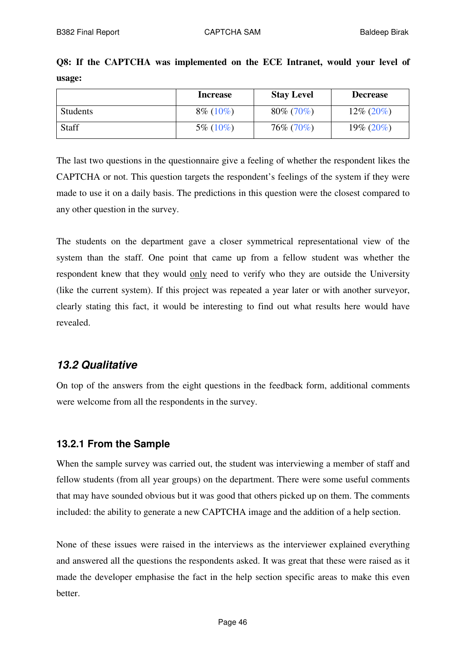|        |  |  | Q8: If the CAPTCHA was implemented on the ECE Intranet, would your level of |  |  |  |  |
|--------|--|--|-----------------------------------------------------------------------------|--|--|--|--|
| usage: |  |  |                                                                             |  |  |  |  |

|                 | <b>Increase</b> | <b>Stay Level</b> | <b>Decrease</b> |
|-----------------|-----------------|-------------------|-----------------|
| <b>Students</b> | $8\%$ (10%)     | $80\%$ (70%)      | $12\% (20\%)$   |
| Staff           | $5\%$ (10\%)    | 76\% (70\%)       | $19\% (20\%)$   |

The last two questions in the questionnaire give a feeling of whether the respondent likes the CAPTCHA or not. This question targets the respondent's feelings of the system if they were made to use it on a daily basis. The predictions in this question were the closest compared to any other question in the survey.

The students on the department gave a closer symmetrical representational view of the system than the staff. One point that came up from a fellow student was whether the respondent knew that they would only need to verify who they are outside the University (like the current system). If this project was repeated a year later or with another surveyor, clearly stating this fact, it would be interesting to find out what results here would have revealed.

## *13.2 Qualitative*

On top of the answers from the eight questions in the feedback form, additional comments were welcome from all the respondents in the survey.

## **13.2.1 From the Sample**

When the sample survey was carried out, the student was interviewing a member of staff and fellow students (from all year groups) on the department. There were some useful comments that may have sounded obvious but it was good that others picked up on them. The comments included: the ability to generate a new CAPTCHA image and the addition of a help section.

None of these issues were raised in the interviews as the interviewer explained everything and answered all the questions the respondents asked. It was great that these were raised as it made the developer emphasise the fact in the help section specific areas to make this even better.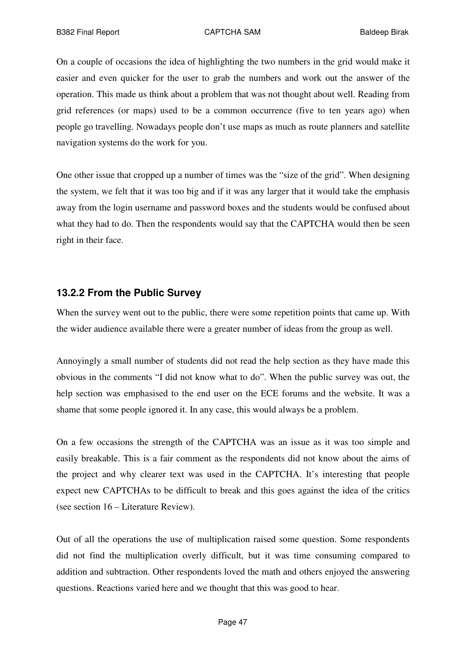On a couple of occasions the idea of highlighting the two numbers in the grid would make it easier and even quicker for the user to grab the numbers and work out the answer of the operation. This made us think about a problem that was not thought about well. Reading from grid references (or maps) used to be a common occurrence (five to ten years ago) when people go travelling. Nowadays people don't use maps as much as route planners and satellite navigation systems do the work for you.

One other issue that cropped up a number of times was the "size of the grid". When designing the system, we felt that it was too big and if it was any larger that it would take the emphasis away from the login username and password boxes and the students would be confused about what they had to do. Then the respondents would say that the CAPTCHA would then be seen right in their face.

#### **13.2.2 From the Public Survey**

When the survey went out to the public, there were some repetition points that came up. With the wider audience available there were a greater number of ideas from the group as well.

Annoyingly a small number of students did not read the help section as they have made this obvious in the comments "I did not know what to do". When the public survey was out, the help section was emphasised to the end user on the ECE forums and the website. It was a shame that some people ignored it. In any case, this would always be a problem.

On a few occasions the strength of the CAPTCHA was an issue as it was too simple and easily breakable. This is a fair comment as the respondents did not know about the aims of the project and why clearer text was used in the CAPTCHA. It's interesting that people expect new CAPTCHAs to be difficult to break and this goes against the idea of the critics (see section 16 – Literature Review).

Out of all the operations the use of multiplication raised some question. Some respondents did not find the multiplication overly difficult, but it was time consuming compared to addition and subtraction. Other respondents loved the math and others enjoyed the answering questions. Reactions varied here and we thought that this was good to hear.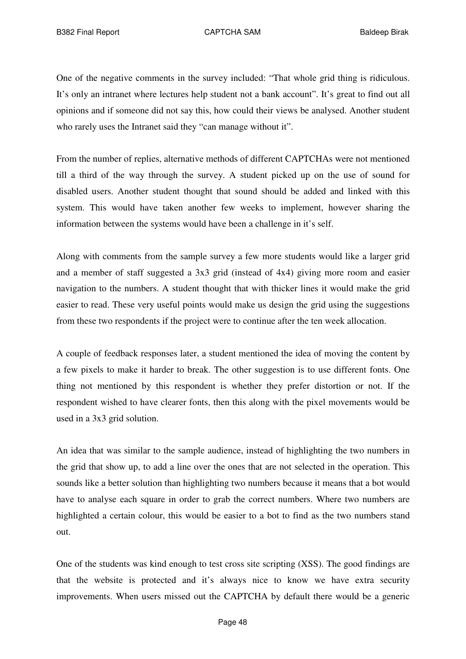One of the negative comments in the survey included: "That whole grid thing is ridiculous. It's only an intranet where lectures help student not a bank account". It's great to find out all opinions and if someone did not say this, how could their views be analysed. Another student who rarely uses the Intranet said they "can manage without it".

From the number of replies, alternative methods of different CAPTCHAs were not mentioned till a third of the way through the survey. A student picked up on the use of sound for disabled users. Another student thought that sound should be added and linked with this system. This would have taken another few weeks to implement, however sharing the information between the systems would have been a challenge in it's self.

Along with comments from the sample survey a few more students would like a larger grid and a member of staff suggested a 3x3 grid (instead of 4x4) giving more room and easier navigation to the numbers. A student thought that with thicker lines it would make the grid easier to read. These very useful points would make us design the grid using the suggestions from these two respondents if the project were to continue after the ten week allocation.

A couple of feedback responses later, a student mentioned the idea of moving the content by a few pixels to make it harder to break. The other suggestion is to use different fonts. One thing not mentioned by this respondent is whether they prefer distortion or not. If the respondent wished to have clearer fonts, then this along with the pixel movements would be used in a 3x3 grid solution.

An idea that was similar to the sample audience, instead of highlighting the two numbers in the grid that show up, to add a line over the ones that are not selected in the operation. This sounds like a better solution than highlighting two numbers because it means that a bot would have to analyse each square in order to grab the correct numbers. Where two numbers are highlighted a certain colour, this would be easier to a bot to find as the two numbers stand out.

One of the students was kind enough to test cross site scripting (XSS). The good findings are that the website is protected and it's always nice to know we have extra security improvements. When users missed out the CAPTCHA by default there would be a generic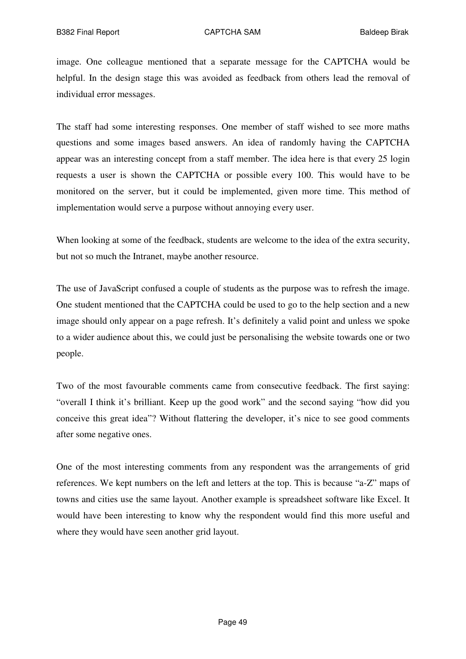image. One colleague mentioned that a separate message for the CAPTCHA would be helpful. In the design stage this was avoided as feedback from others lead the removal of individual error messages.

The staff had some interesting responses. One member of staff wished to see more maths questions and some images based answers. An idea of randomly having the CAPTCHA appear was an interesting concept from a staff member. The idea here is that every 25 login requests a user is shown the CAPTCHA or possible every 100. This would have to be monitored on the server, but it could be implemented, given more time. This method of implementation would serve a purpose without annoying every user.

When looking at some of the feedback, students are welcome to the idea of the extra security, but not so much the Intranet, maybe another resource.

The use of JavaScript confused a couple of students as the purpose was to refresh the image. One student mentioned that the CAPTCHA could be used to go to the help section and a new image should only appear on a page refresh. It's definitely a valid point and unless we spoke to a wider audience about this, we could just be personalising the website towards one or two people.

Two of the most favourable comments came from consecutive feedback. The first saying: "overall I think it's brilliant. Keep up the good work" and the second saying "how did you conceive this great idea"? Without flattering the developer, it's nice to see good comments after some negative ones.

One of the most interesting comments from any respondent was the arrangements of grid references. We kept numbers on the left and letters at the top. This is because "a-Z" maps of towns and cities use the same layout. Another example is spreadsheet software like Excel. It would have been interesting to know why the respondent would find this more useful and where they would have seen another grid layout.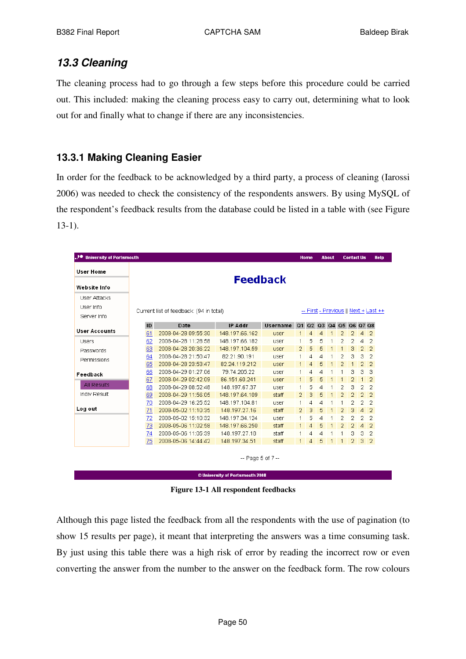# *13.3 Cleaning*

The cleaning process had to go through a few steps before this procedure could be carried out. This included: making the cleaning process easy to carry out, determining what to look out for and finally what to change if there are any inconsistencies.

## **13.3.1 Making Cleaning Easier**

In order for the feedback to be acknowledged by a third party, a process of cleaning (Iarossi 2006) was needed to check the consistency of the respondents answers. By using MySQL of the respondent's feedback results from the database could be listed in a table with (see Figure 13-1).

| <b>University of Portsmouth</b> |    |                                         |                |       |                      | Home                                  |   | <b>About</b> |                | <b>Contact Us</b> |                | Help           |  |
|---------------------------------|----|-----------------------------------------|----------------|-------|----------------------|---------------------------------------|---|--------------|----------------|-------------------|----------------|----------------|--|
| <b>User Home</b>                |    |                                         |                |       |                      |                                       |   |              |                |                   |                |                |  |
| Website Info                    |    | <b>Feedback</b>                         |                |       |                      |                                       |   |              |                |                   |                |                |  |
| User Attacks                    |    |                                         |                |       |                      |                                       |   |              |                |                   |                |                |  |
| User Info                       |    |                                         |                |       |                      |                                       |   |              |                |                   |                |                |  |
| Server Info                     |    | Current list of feedback: (94 in total) |                |       |                      | -- First - Previous    Next + Last ++ |   |              |                |                   |                |                |  |
|                                 | ID | Date                                    | Username<br>Q1 |       | 02 03 04 05 06 07 08 |                                       |   |              |                |                   |                |                |  |
| <b>User Accounts</b>            | 61 | 2008-04-28 09:55:30                     | 148.197.66.162 | user  |                      | Δ                                     | 4 |              | 2              | 2                 | 4              | $\overline{2}$ |  |
| <b>Users</b>                    | 62 | 2008-04-28 11:28:58                     | 148.197.66.182 | user  | 1                    | 5                                     | 5 | 1            | 2              | 2                 | 4              | $\overline{2}$ |  |
| Passwords                       | 63 | 2008-04-28 20:36:22                     | 148.197.104.59 | user  | 2                    | 5                                     | 5 |              | $\mathbf{1}$   | з                 | 2              | $\overline{2}$ |  |
|                                 | 64 | 2008-04-28 21:50:47                     | 82.21.90.191   | user  | 1                    | 4                                     | 4 |              | 2              | 3                 | 3              | 2              |  |
| Permissions                     | 65 | 2008-04-28 23:53:47                     | 82.24.119.212  | user  | $\mathbf{1}$         | 4                                     | 5 |              | $\overline{2}$ | 1                 | $\overline{2}$ | $\overline{2}$ |  |
| Feedback                        | 66 | 2008-04-29 01:27:06                     | 79.74.205.22   | user  | 1                    | 4                                     | 4 |              | 1              | 3                 | 3              | з              |  |
|                                 | 67 | 2008-04-29 02:42:09                     | 86.151.60.241  | user  | $\mathbf{1}$         | 5                                     | 5 |              | 1              | 2                 | $\mathbf{1}$   | $\overline{2}$ |  |
| All Results                     | 68 | 2008-04-29 08:52:48                     | 148.197.67.37  | user  | 1                    | 5                                     | 4 |              | 2              | 3                 | 2              | 2              |  |
| Indiv Result                    | 69 | 2008-04-29 11:56:05                     | 148.197.64.109 | staff | 2                    | 3                                     | 5 |              | 2              | 2                 | $\overline{2}$ | $\overline{2}$ |  |
|                                 | 70 | 2008-04-29 16:25:52                     | 148.197.104.81 | user  | $\mathbf{1}$         | 4                                     | 4 |              | 1              | 2                 | 2              | $\overline{2}$ |  |
| Log out                         | 71 | 2008-05-02 11:10:35                     | 148.197.27.16  | staff | $\overline{2}$       | 3                                     | 5 |              | $\overline{2}$ | 3                 | $\overline{4}$ | $\overline{2}$ |  |
|                                 | 72 | 2008-05-02 15:10:32                     | 148.197.34.124 | user  | 1                    | 5                                     | 4 |              | 2              | 2                 | 2              | 2              |  |
|                                 | 73 | 2008-05-06 11:02:58                     | 148.197.66.250 | staff | $\mathbf{1}$         | 4                                     | 5 |              | $\overline{2}$ | $\overline{2}$    | 4              | $\overline{2}$ |  |
|                                 | 74 | 2008-05-06 11:05:39                     | 148.197.27.18  | staff | $\mathbf{1}$         | 4                                     | 4 |              | 1              | 3                 | з              | 2              |  |
|                                 | 75 | 2008-05-06 14:44:42                     | 148.197.34.51  | staff | $\mathbf{1}$         | 4                                     | 5 | $\mathbf{1}$ | $\mathbf{1}$   | 2                 | 3              | $\overline{2}$ |  |

© University of Portsmouth 2008

**Figure 13-1 All respondent feedbacks**

Although this page listed the feedback from all the respondents with the use of pagination (to show 15 results per page), it meant that interpreting the answers was a time consuming task. By just using this table there was a high risk of error by reading the incorrect row or even converting the answer from the number to the answer on the feedback form. The row colours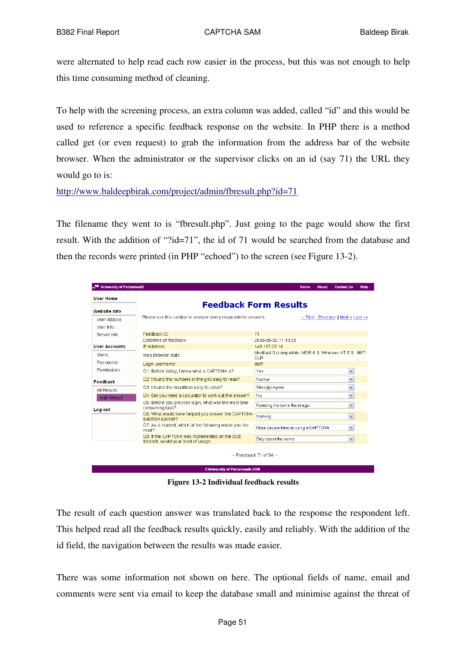were alternated to help read each row easier in the process, but this was not enough to help this time consuming method of cleaning.

To help with the screening process, an extra column was added, called "id" and this would be used to reference a specific feedback response on the website. In PHP there is a method called get (or even request) to grab the information from the address bar of the website browser. When the administrator or the supervisor clicks on an id (say 71) the URL they would go to is:

http://www.baldeepbirak.com/project/admin/fbresult.php?id=71

The filename they went to is "fbresult.php". Just going to the page would show the first result. With the addition of "?id=71", the id of 71 would be searched from the database and then the records were printed (in PHP "echoed") to the screen (see Figure 13-2).

| . <sup>1●</sup> University of Portsmouth |                                                                                                                                                           |                                                                                | <b>Home</b> | <b>About</b> | <b>Contact Us</b>                    | Help |  |  |  |  |  |
|------------------------------------------|-----------------------------------------------------------------------------------------------------------------------------------------------------------|--------------------------------------------------------------------------------|-------------|--------------|--------------------------------------|------|--|--|--|--|--|
| <b>User Home</b><br><b>Website Info</b>  | <b>Feedback Form Results</b>                                                                                                                              |                                                                                |             |              |                                      |      |  |  |  |  |  |
| User Attacks<br>User Info                | Please use this section to analyse every respondents answers.<br>-- First - Previous    Next + Last ++                                                    |                                                                                |             |              |                                      |      |  |  |  |  |  |
| Server Info.<br><b>User Accounts</b>     | Feedback ID:<br>Date/time of feedback:<br>IP Address:                                                                                                     | 71<br>2008-05-02 11:10:35<br>148.197.27.16                                     |             |              |                                      |      |  |  |  |  |  |
| Users<br>Passwords                       | Web browser stats:<br>Login username:                                                                                                                     | Mozilla/4.0 (compatible; MSIE 6.0; Windows NT 5.0; .NET<br><b>CLR</b><br>staff |             |              |                                      |      |  |  |  |  |  |
| Permissions<br>Feedback                  | Q1: Before today, I knew what a CAPTCHA is?<br>Q2: I found the numbers in the grid easy to read?                                                          | Yes.<br>Neither                                                                |             |              | M<br>$\checkmark$                    |      |  |  |  |  |  |
| All Results<br>Indiv Result              | Q3: I found the equations easy to solve?<br>Q4: Did you need a calculator to work out the answer?<br>Q5: Before you pressed login, what was the most time | Strongly Agree<br>No                                                           |             |              | $\checkmark$<br>M                    |      |  |  |  |  |  |
| Log out                                  | consuming task?<br>Q6: What would have helped you answer the CAPTCHA<br>question quicker?                                                                 | Reading the text in the image<br>Nothing                                       |             |              | $\checkmark$<br>M                    |      |  |  |  |  |  |
|                                          | Q7: As a student, which of the following would you like<br>most?<br>Q8: If the CAPTCHA was implemented on the ECE                                         | More secure Intranet using a CAPTCHA<br>Stay about the same                    |             |              | $\blacktriangledown$<br>$\checkmark$ |      |  |  |  |  |  |
|                                          | Intranet, would your level of usage:<br>© University of Dortsmouth 2008                                                                                   | $-$ Feedback 71 of 94 $-$                                                      |             |              |                                      |      |  |  |  |  |  |

**Figure 13-2 Individual feedback results**

The result of each question answer was translated back to the response the respondent left. This helped read all the feedback results quickly, easily and reliably. With the addition of the id field, the navigation between the results was made easier.

There was some information not shown on here. The optional fields of name, email and comments were sent via email to keep the database small and minimise against the threat of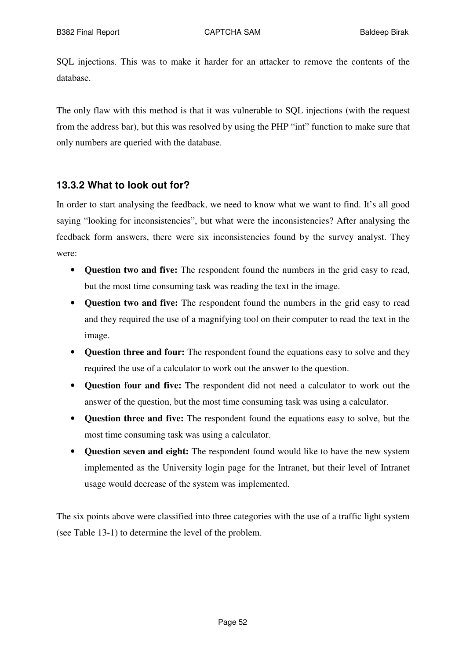SQL injections. This was to make it harder for an attacker to remove the contents of the database.

The only flaw with this method is that it was vulnerable to SQL injections (with the request from the address bar), but this was resolved by using the PHP "int" function to make sure that only numbers are queried with the database.

#### **13.3.2 What to look out for?**

In order to start analysing the feedback, we need to know what we want to find. It's all good saying "looking for inconsistencies", but what were the inconsistencies? After analysing the feedback form answers, there were six inconsistencies found by the survey analyst. They were:

- **Question two and five:** The respondent found the numbers in the grid easy to read, but the most time consuming task was reading the text in the image.
- **Question two and five:** The respondent found the numbers in the grid easy to read and they required the use of a magnifying tool on their computer to read the text in the image.
- **Question three and four:** The respondent found the equations easy to solve and they required the use of a calculator to work out the answer to the question.
- **Question four and five:** The respondent did not need a calculator to work out the answer of the question, but the most time consuming task was using a calculator.
- **Question three and five:** The respondent found the equations easy to solve, but the most time consuming task was using a calculator.
- **Question seven and eight:** The respondent found would like to have the new system implemented as the University login page for the Intranet, but their level of Intranet usage would decrease of the system was implemented.

The six points above were classified into three categories with the use of a traffic light system (see Table 13-1) to determine the level of the problem.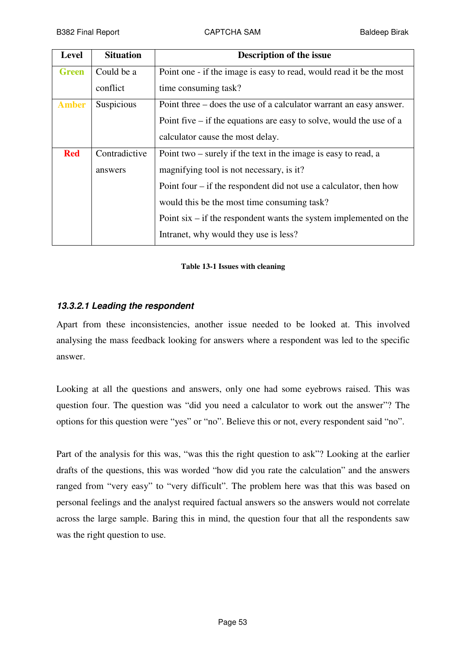| Level        | <b>Situation</b> | <b>Description of the issue</b>                                       |
|--------------|------------------|-----------------------------------------------------------------------|
| <b>Green</b> | Could be a       | Point one - if the image is easy to read, would read it be the most   |
|              | conflict         | time consuming task?                                                  |
| <b>Amber</b> | Suspicious       | Point three – does the use of a calculator warrant an easy answer.    |
|              |                  | Point five $-$ if the equations are easy to solve, would the use of a |
|              |                  | calculator cause the most delay.                                      |
| <b>Red</b>   | Contradictive    | Point two $-$ surely if the text in the image is easy to read, a      |
|              | answers          | magnifying tool is not necessary, is it?                              |
|              |                  | Point four $-$ if the respondent did not use a calculator, then how   |
|              |                  | would this be the most time consuming task?                           |
|              |                  | Point $six - if$ the respondent wants the system implemented on the   |
|              |                  | Intranet, why would they use is less?                                 |

#### **Table 13-1 Issues with cleaning**

#### *13.3.2.1 Leading the respondent*

Apart from these inconsistencies, another issue needed to be looked at. This involved analysing the mass feedback looking for answers where a respondent was led to the specific answer.

Looking at all the questions and answers, only one had some eyebrows raised. This was question four. The question was "did you need a calculator to work out the answer"? The options for this question were "yes" or "no". Believe this or not, every respondent said "no".

Part of the analysis for this was, "was this the right question to ask"? Looking at the earlier drafts of the questions, this was worded "how did you rate the calculation" and the answers ranged from "very easy" to "very difficult". The problem here was that this was based on personal feelings and the analyst required factual answers so the answers would not correlate across the large sample. Baring this in mind, the question four that all the respondents saw was the right question to use.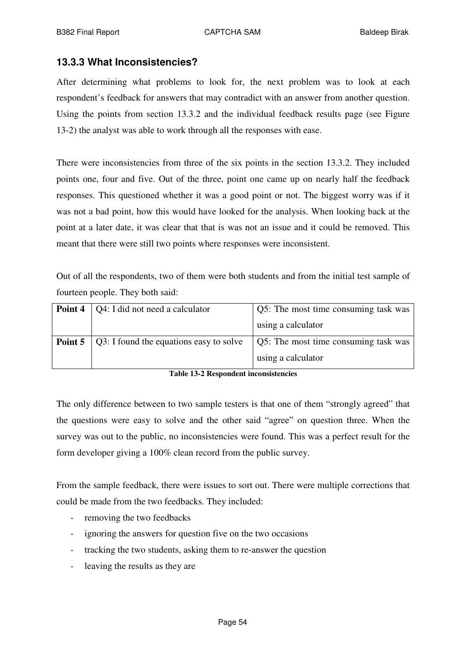#### **13.3.3 What Inconsistencies?**

After determining what problems to look for, the next problem was to look at each respondent's feedback for answers that may contradict with an answer from another question. Using the points from section 13.3.2 and the individual feedback results page (see Figure 13-2) the analyst was able to work through all the responses with ease.

There were inconsistencies from three of the six points in the section 13.3.2. They included points one, four and five. Out of the three, point one came up on nearly half the feedback responses. This questioned whether it was a good point or not. The biggest worry was if it was not a bad point, how this would have looked for the analysis. When looking back at the point at a later date, it was clear that that is was not an issue and it could be removed. This meant that there were still two points where responses were inconsistent.

Out of all the respondents, two of them were both students and from the initial test sample of fourteen people. They both said:

| Point 4 | Q4: I did not need a calculator         | Q5: The most time consuming task was |
|---------|-----------------------------------------|--------------------------------------|
|         |                                         | using a calculator                   |
| Point 5 | Q3: I found the equations easy to solve | Q5: The most time consuming task was |
|         |                                         | using a calculator                   |

**Table 13-2 Respondent inconsistencies**

The only difference between to two sample testers is that one of them "strongly agreed" that the questions were easy to solve and the other said "agree" on question three. When the survey was out to the public, no inconsistencies were found. This was a perfect result for the form developer giving a 100% clean record from the public survey.

From the sample feedback, there were issues to sort out. There were multiple corrections that could be made from the two feedbacks. They included:

- removing the two feedbacks
- ignoring the answers for question five on the two occasions
- tracking the two students, asking them to re-answer the question
- leaving the results as they are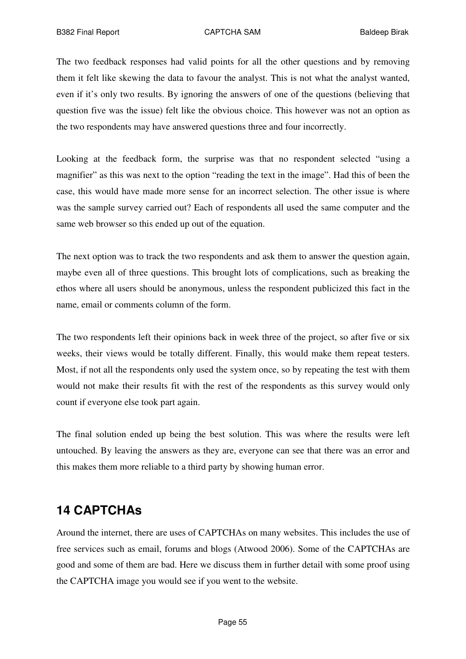The two feedback responses had valid points for all the other questions and by removing them it felt like skewing the data to favour the analyst. This is not what the analyst wanted, even if it's only two results. By ignoring the answers of one of the questions (believing that question five was the issue) felt like the obvious choice. This however was not an option as the two respondents may have answered questions three and four incorrectly.

Looking at the feedback form, the surprise was that no respondent selected "using a magnifier" as this was next to the option "reading the text in the image". Had this of been the case, this would have made more sense for an incorrect selection. The other issue is where was the sample survey carried out? Each of respondents all used the same computer and the same web browser so this ended up out of the equation.

The next option was to track the two respondents and ask them to answer the question again, maybe even all of three questions. This brought lots of complications, such as breaking the ethos where all users should be anonymous, unless the respondent publicized this fact in the name, email or comments column of the form.

The two respondents left their opinions back in week three of the project, so after five or six weeks, their views would be totally different. Finally, this would make them repeat testers. Most, if not all the respondents only used the system once, so by repeating the test with them would not make their results fit with the rest of the respondents as this survey would only count if everyone else took part again.

The final solution ended up being the best solution. This was where the results were left untouched. By leaving the answers as they are, everyone can see that there was an error and this makes them more reliable to a third party by showing human error.

# **14 CAPTCHAs**

Around the internet, there are uses of CAPTCHAs on many websites. This includes the use of free services such as email, forums and blogs (Atwood 2006). Some of the CAPTCHAs are good and some of them are bad. Here we discuss them in further detail with some proof using the CAPTCHA image you would see if you went to the website.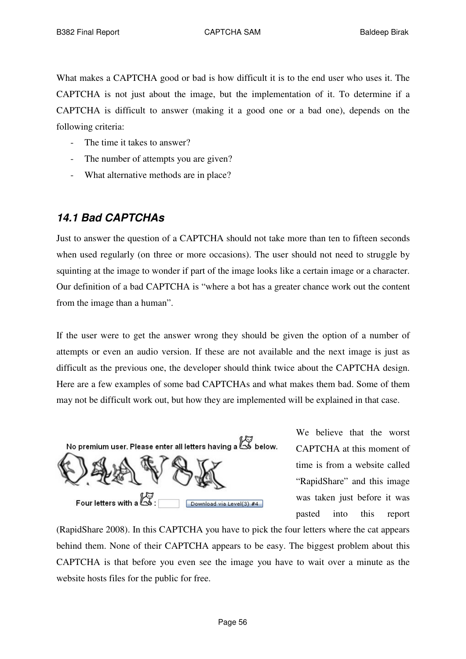What makes a CAPTCHA good or bad is how difficult it is to the end user who uses it. The CAPTCHA is not just about the image, but the implementation of it. To determine if a CAPTCHA is difficult to answer (making it a good one or a bad one), depends on the following criteria:

- The time it takes to answer?
- The number of attempts you are given?
- What alternative methods are in place?

# *14.1 Bad CAPTCHAs*

Just to answer the question of a CAPTCHA should not take more than ten to fifteen seconds when used regularly (on three or more occasions). The user should not need to struggle by squinting at the image to wonder if part of the image looks like a certain image or a character. Our definition of a bad CAPTCHA is "where a bot has a greater chance work out the content from the image than a human".

If the user were to get the answer wrong they should be given the option of a number of attempts or even an audio version. If these are not available and the next image is just as difficult as the previous one, the developer should think twice about the CAPTCHA design. Here are a few examples of some bad CAPTCHAs and what makes them bad. Some of them may not be difficult work out, but how they are implemented will be explained in that case.



We believe that the worst CAPTCHA at this moment of time is from a website called "RapidShare" and this image was taken just before it was pasted into this report

(RapidShare 2008). In this CAPTCHA you have to pick the four letters where the cat appears behind them. None of their CAPTCHA appears to be easy. The biggest problem about this CAPTCHA is that before you even see the image you have to wait over a minute as the website hosts files for the public for free.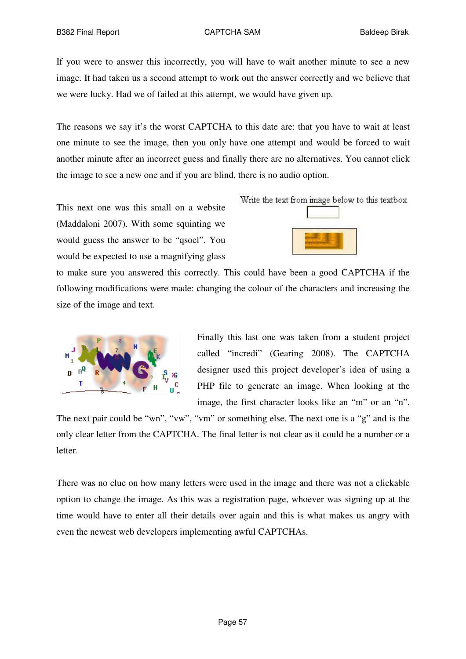If you were to answer this incorrectly, you will have to wait another minute to see a new image. It had taken us a second attempt to work out the answer correctly and we believe that we were lucky. Had we of failed at this attempt, we would have given up.

The reasons we say it's the worst CAPTCHA to this date are: that you have to wait at least one minute to see the image, then you only have one attempt and would be forced to wait another minute after an incorrect guess and finally there are no alternatives. You cannot click the image to see a new one and if you are blind, there is no audio option.

This next one was this small on a website (Maddaloni 2007). With some squinting we would guess the answer to be "qsoel". You would be expected to use a magnifying glass

Write the text from image below to this textbox



to make sure you answered this correctly. This could have been a good CAPTCHA if the following modifications were made: changing the colour of the characters and increasing the size of the image and text.



Finally this last one was taken from a student project called "incredi" (Gearing 2008). The CAPTCHA designer used this project developer's idea of using a PHP file to generate an image. When looking at the image, the first character looks like an "m" or an "n".

The next pair could be "wn", "vw", "vm" or something else. The next one is a "g" and is the only clear letter from the CAPTCHA. The final letter is not clear as it could be a number or a letter.

There was no clue on how many letters were used in the image and there was not a clickable option to change the image. As this was a registration page, whoever was signing up at the time would have to enter all their details over again and this is what makes us angry with even the newest web developers implementing awful CAPTCHAs.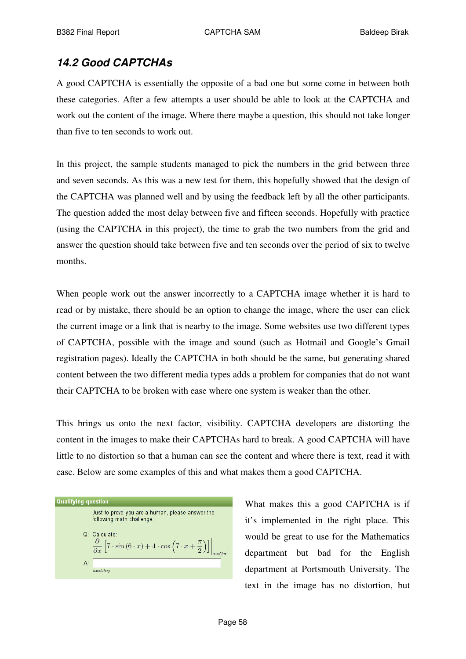# *14.2 Good CAPTCHAs*

A good CAPTCHA is essentially the opposite of a bad one but some come in between both these categories. After a few attempts a user should be able to look at the CAPTCHA and work out the content of the image. Where there maybe a question, this should not take longer than five to ten seconds to work out.

In this project, the sample students managed to pick the numbers in the grid between three and seven seconds. As this was a new test for them, this hopefully showed that the design of the CAPTCHA was planned well and by using the feedback left by all the other participants. The question added the most delay between five and fifteen seconds. Hopefully with practice (using the CAPTCHA in this project), the time to grab the two numbers from the grid and answer the question should take between five and ten seconds over the period of six to twelve months.

When people work out the answer incorrectly to a CAPTCHA image whether it is hard to read or by mistake, there should be an option to change the image, where the user can click the current image or a link that is nearby to the image. Some websites use two different types of CAPTCHA, possible with the image and sound (such as Hotmail and Google's Gmail registration pages). Ideally the CAPTCHA in both should be the same, but generating shared content between the two different media types adds a problem for companies that do not want their CAPTCHA to be broken with ease where one system is weaker than the other.

This brings us onto the next factor, visibility. CAPTCHA developers are distorting the content in the images to make their CAPTCHAs hard to break. A good CAPTCHA will have little to no distortion so that a human can see the content and where there is text, read it with ease. Below are some examples of this and what makes them a good CAPTCHA.

**Qualifying question** Just to prove you are a human, please answer the following math challenge Q: Calculate  $\left[7 \cdot \sin \left(6 \cdot x\right) + 4 \cdot \cos \left(7 \cdot x + \frac{\pi}{2}\right)\right]$  $A^2$ andatory

What makes this a good CAPTCHA is if it's implemented in the right place. This would be great to use for the Mathematics department but bad for the English department at Portsmouth University. The text in the image has no distortion, but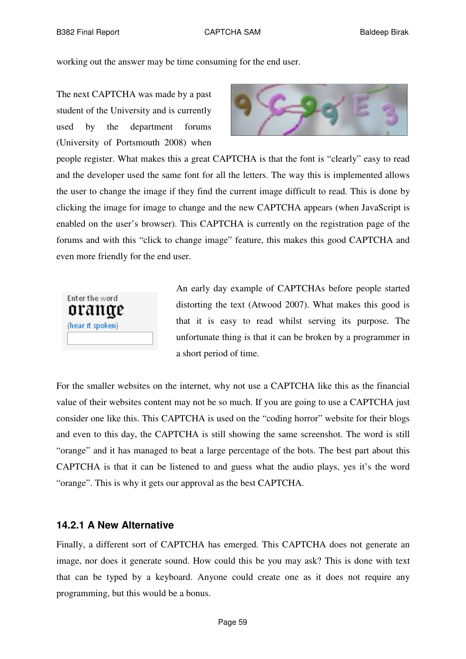working out the answer may be time consuming for the end user.

The next CAPTCHA was made by a past student of the University and is currently used by the department forums (University of Portsmouth 2008) when



people register. What makes this a great CAPTCHA is that the font is "clearly" easy to read and the developer used the same font for all the letters. The way this is implemented allows the user to change the image if they find the current image difficult to read. This is done by clicking the image for image to change and the new CAPTCHA appears (when JavaScript is enabled on the user's browser). This CAPTCHA is currently on the registration page of the forums and with this "click to change image" feature, this makes this good CAPTCHA and even more friendly for the end user.



An early day example of CAPTCHAs before people started distorting the text (Atwood 2007). What makes this good is that it is easy to read whilst serving its purpose. The unfortunate thing is that it can be broken by a programmer in a short period of time.

For the smaller websites on the internet, why not use a CAPTCHA like this as the financial value of their websites content may not be so much. If you are going to use a CAPTCHA just consider one like this. This CAPTCHA is used on the "coding horror" website for their blogs and even to this day, the CAPTCHA is still showing the same screenshot. The word is still "orange" and it has managed to beat a large percentage of the bots. The best part about this CAPTCHA is that it can be listened to and guess what the audio plays, yes it's the word "orange". This is why it gets our approval as the best CAPTCHA.

#### **14.2.1 A New Alternative**

Finally, a different sort of CAPTCHA has emerged. This CAPTCHA does not generate an image, nor does it generate sound. How could this be you may ask? This is done with text that can be typed by a keyboard. Anyone could create one as it does not require any programming, but this would be a bonus.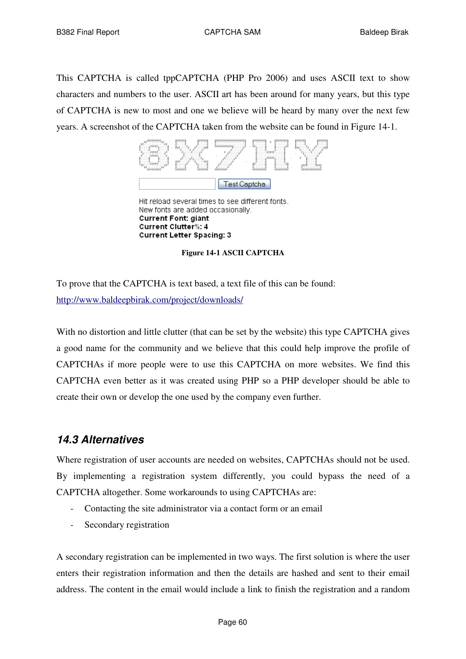This CAPTCHA is called tppCAPTCHA (PHP Pro 2006) and uses ASCII text to show characters and numbers to the user. ASCII art has been around for many years, but this type of CAPTCHA is new to most and one we believe will be heard by many over the next few years. A screenshot of the CAPTCHA taken from the website can be found in Figure 14-1.



Hit reload several times to see different fonts. New fonts are added occasionally. **Current Font: giant** Current Clutter%: 4 **Current Letter Spacing: 3** 

**Figure 14-1 ASCII CAPTCHA**

To prove that the CAPTCHA is text based, a text file of this can be found: http://www.baldeepbirak.com/project/downloads/

With no distortion and little clutter (that can be set by the website) this type CAPTCHA gives a good name for the community and we believe that this could help improve the profile of CAPTCHAs if more people were to use this CAPTCHA on more websites. We find this CAPTCHA even better as it was created using PHP so a PHP developer should be able to create their own or develop the one used by the company even further.

# *14.3 Alternatives*

Where registration of user accounts are needed on websites, CAPTCHAs should not be used. By implementing a registration system differently, you could bypass the need of a CAPTCHA altogether. Some workarounds to using CAPTCHAs are:

- Contacting the site administrator via a contact form or an email
- Secondary registration

A secondary registration can be implemented in two ways. The first solution is where the user enters their registration information and then the details are hashed and sent to their email address. The content in the email would include a link to finish the registration and a random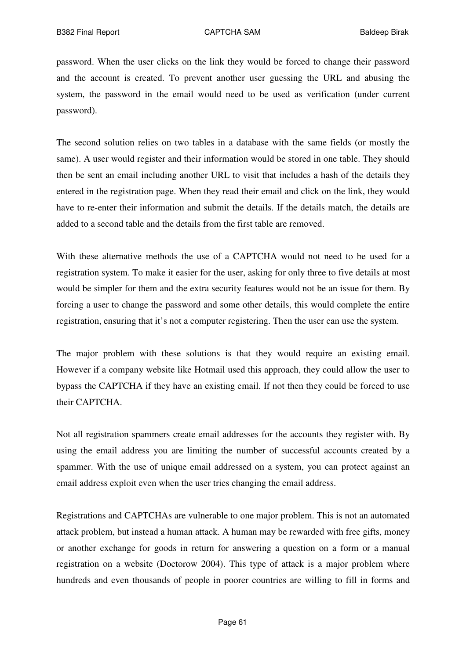password. When the user clicks on the link they would be forced to change their password and the account is created. To prevent another user guessing the URL and abusing the system, the password in the email would need to be used as verification (under current password).

The second solution relies on two tables in a database with the same fields (or mostly the same). A user would register and their information would be stored in one table. They should then be sent an email including another URL to visit that includes a hash of the details they entered in the registration page. When they read their email and click on the link, they would have to re-enter their information and submit the details. If the details match, the details are added to a second table and the details from the first table are removed.

With these alternative methods the use of a CAPTCHA would not need to be used for a registration system. To make it easier for the user, asking for only three to five details at most would be simpler for them and the extra security features would not be an issue for them. By forcing a user to change the password and some other details, this would complete the entire registration, ensuring that it's not a computer registering. Then the user can use the system.

The major problem with these solutions is that they would require an existing email. However if a company website like Hotmail used this approach, they could allow the user to bypass the CAPTCHA if they have an existing email. If not then they could be forced to use their CAPTCHA.

Not all registration spammers create email addresses for the accounts they register with. By using the email address you are limiting the number of successful accounts created by a spammer. With the use of unique email addressed on a system, you can protect against an email address exploit even when the user tries changing the email address.

Registrations and CAPTCHAs are vulnerable to one major problem. This is not an automated attack problem, but instead a human attack. A human may be rewarded with free gifts, money or another exchange for goods in return for answering a question on a form or a manual registration on a website (Doctorow 2004). This type of attack is a major problem where hundreds and even thousands of people in poorer countries are willing to fill in forms and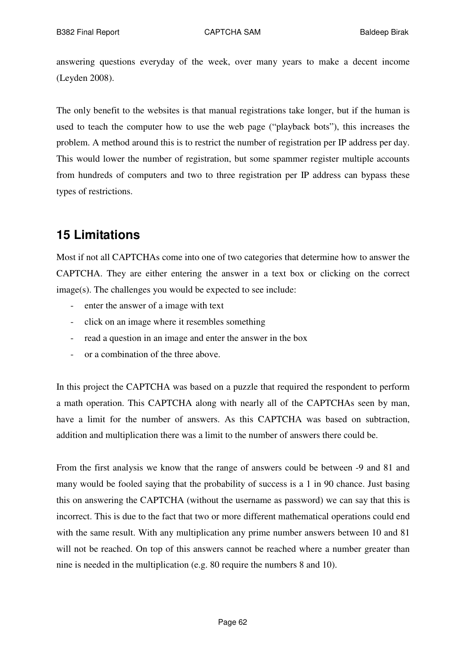answering questions everyday of the week, over many years to make a decent income (Leyden 2008).

The only benefit to the websites is that manual registrations take longer, but if the human is used to teach the computer how to use the web page ("playback bots"), this increases the problem. A method around this is to restrict the number of registration per IP address per day. This would lower the number of registration, but some spammer register multiple accounts from hundreds of computers and two to three registration per IP address can bypass these types of restrictions.

# **15 Limitations**

Most if not all CAPTCHAs come into one of two categories that determine how to answer the CAPTCHA. They are either entering the answer in a text box or clicking on the correct image(s). The challenges you would be expected to see include:

- enter the answer of a image with text
- click on an image where it resembles something
- read a question in an image and enter the answer in the box
- or a combination of the three above.

In this project the CAPTCHA was based on a puzzle that required the respondent to perform a math operation. This CAPTCHA along with nearly all of the CAPTCHAs seen by man, have a limit for the number of answers. As this CAPTCHA was based on subtraction, addition and multiplication there was a limit to the number of answers there could be.

From the first analysis we know that the range of answers could be between -9 and 81 and many would be fooled saying that the probability of success is a 1 in 90 chance. Just basing this on answering the CAPTCHA (without the username as password) we can say that this is incorrect. This is due to the fact that two or more different mathematical operations could end with the same result. With any multiplication any prime number answers between 10 and 81 will not be reached. On top of this answers cannot be reached where a number greater than nine is needed in the multiplication (e.g. 80 require the numbers 8 and 10).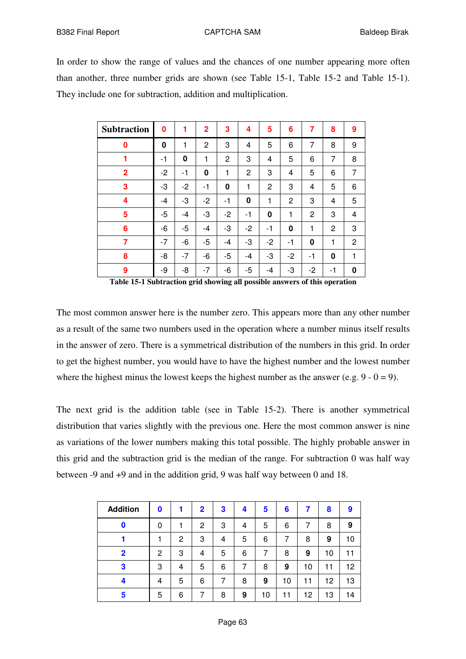In order to show the range of values and the chances of one number appearing more often than another, three number grids are shown (see Table 15-1, Table 15-2 and Table 15-1). They include one for subtraction, addition and multiplication.

| <b>Subtraction</b> | 0        | 1    | $\overline{2}$ | 3    | 4    | 5  | 6    | 7    | 8  | 9 |
|--------------------|----------|------|----------------|------|------|----|------|------|----|---|
| $\bf{0}$           | $\bf{0}$ | 1    | 2              | 3    | 4    | 5  | 6    | 7    | 8  | 9 |
| 1                  | -1       | 0    | 1              | 2    | 3    | 4  | 5    | 6    | 7  | 8 |
| $\overline{2}$     | $-2$     | -1   | 0              | 1    | 2    | 3  | 4    | 5    | 6  | 7 |
| 3                  | -3       | $-2$ | -1             | 0    | 1    | 2  | 3    | 4    | 5  | 6 |
| 4                  | -4       | -3   | $-2$           | -1   | 0    | 1  | 2    | 3    | 4  | 5 |
| 5                  | -5       | -4   | -3             | $-2$ | -1   | 0  | 1    | 2    | 3  | 4 |
| 6                  | -6       | -5   | -4             | -3   | $-2$ | -1 | 0    | 1    | 2  | 3 |
| 7                  | $-7$     | -6   | -5             | -4   | -3   | -2 | -1   | 0    | 1  | 2 |
| 8                  | -8       | -7   | -6             | -5   | -4   | -3 | $-2$ | -1   | 0  | 1 |
| 9                  | -9       | -8   | -7             | -6   | -5   | -4 | -3   | $-2$ | -1 | 0 |

**Table 15-1 Subtraction grid showing all possible answers of this operation**

The most common answer here is the number zero. This appears more than any other number as a result of the same two numbers used in the operation where a number minus itself results in the answer of zero. There is a symmetrical distribution of the numbers in this grid. In order to get the highest number, you would have to have the highest number and the lowest number where the highest minus the lowest keeps the highest number as the answer (e.g.  $9 - 0 = 9$ ).

The next grid is the addition table (see in Table 15-2). There is another symmetrical distribution that varies slightly with the previous one. Here the most common answer is nine as variations of the lower numbers making this total possible. The highly probable answer in this grid and the subtraction grid is the median of the range. For subtraction 0 was half way between -9 and +9 and in the addition grid, 9 was half way between 0 and 18.

| <b>Addition</b> | 0            | 1            | $\mathbf{2}$ | 3 | 4 | 5  | 6  | 7  | 8  | 9  |
|-----------------|--------------|--------------|--------------|---|---|----|----|----|----|----|
| 0               | 0            |              | 2            | 3 | 4 | 5  | 6  | 7  | 8  | 9  |
|                 |              | $\mathbf{2}$ | 3            | 4 | 5 | 6  | 7  | 8  | 9  | 10 |
| $\mathbf 2$     | $\mathbf{2}$ | 3            | 4            | 5 | 6 | 7  | 8  | 9  | 10 | 11 |
| 3               | 3            | 4            | 5            | 6 | 7 | 8  | 9  | 10 | 11 | 12 |
| 4               | 4            | 5            | 6            |   | 8 | 9  | 10 | 11 | 12 | 13 |
| 5               | 5            | 6            |              | 8 | 9 | 10 | 11 | 12 | 13 | 14 |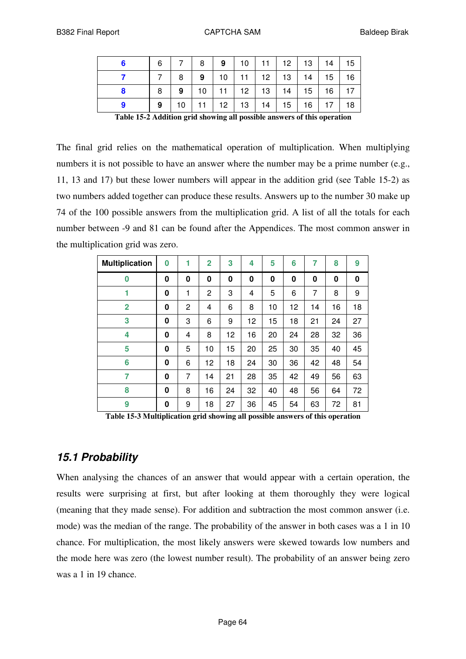| 6 |    | 8 <sup>1</sup> |  | 9   10   11   12   13   14   15       |  |                |  |
|---|----|----------------|--|---------------------------------------|--|----------------|--|
|   | -8 | 9              |  | 10   11   12   13   14   15   16      |  |                |  |
| 8 | 9  |                |  | 10   11   12   13   14   15   16   17 |  |                |  |
| 9 |    |                |  | $10$   11   12   13   14   15         |  | $16$   17   18 |  |

**Table 15-2 Addition grid showing all possible answers of this operation**

The final grid relies on the mathematical operation of multiplication. When multiplying numbers it is not possible to have an answer where the number may be a prime number (e.g., 11, 13 and 17) but these lower numbers will appear in the addition grid (see Table 15-2) as two numbers added together can produce these results. Answers up to the number 30 make up 74 of the 100 possible answers from the multiplication grid. A list of all the totals for each number between -9 and 81 can be found after the Appendices. The most common answer in the multiplication grid was zero.

| <b>Multiplication</b> | 0 | 1 | $\overline{2}$ | 3  | 4  | 5  | 6  | 7  | 8  | 9        |
|-----------------------|---|---|----------------|----|----|----|----|----|----|----------|
| $\bf{0}$              | 0 | 0 | 0              | 0  | 0  | 0  | 0  | 0  | 0  | $\bf{0}$ |
| 1                     | 0 | 1 | 2              | 3  | 4  | 5  | 6  | 7  | 8  | 9        |
| $\overline{2}$        | 0 | 2 | 4              | 6  | 8  | 10 | 12 | 14 | 16 | 18       |
| 3                     | 0 | 3 | 6              | 9  | 12 | 15 | 18 | 21 | 24 | 27       |
| 4                     | 0 | 4 | 8              | 12 | 16 | 20 | 24 | 28 | 32 | 36       |
| 5                     | 0 | 5 | 10             | 15 | 20 | 25 | 30 | 35 | 40 | 45       |
| 6                     | 0 | 6 | 12             | 18 | 24 | 30 | 36 | 42 | 48 | 54       |
| 7                     | 0 | 7 | 14             | 21 | 28 | 35 | 42 | 49 | 56 | 63       |
| 8                     | 0 | 8 | 16             | 24 | 32 | 40 | 48 | 56 | 64 | 72       |
| 9                     | 0 | 9 | 18             | 27 | 36 | 45 | 54 | 63 | 72 | 81       |

**Table 15-3 Multiplication grid showing all possible answers of this operation**

# *15.1 Probability*

When analysing the chances of an answer that would appear with a certain operation, the results were surprising at first, but after looking at them thoroughly they were logical (meaning that they made sense). For addition and subtraction the most common answer (i.e. mode) was the median of the range. The probability of the answer in both cases was a 1 in 10 chance. For multiplication, the most likely answers were skewed towards low numbers and the mode here was zero (the lowest number result). The probability of an answer being zero was a 1 in 19 chance.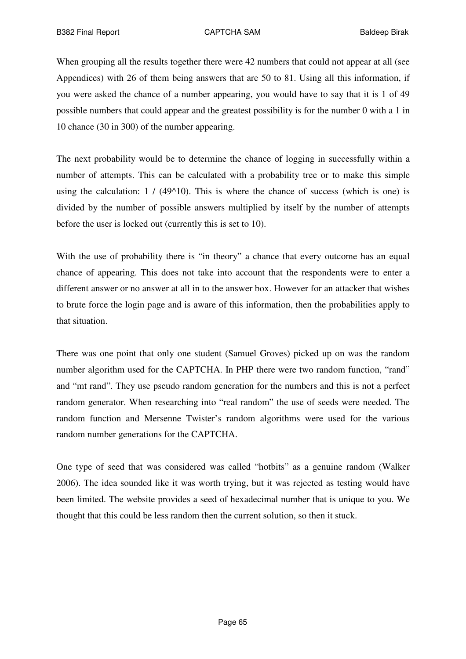When grouping all the results together there were 42 numbers that could not appear at all (see Appendices) with 26 of them being answers that are 50 to 81. Using all this information, if you were asked the chance of a number appearing, you would have to say that it is 1 of 49 possible numbers that could appear and the greatest possibility is for the number 0 with a 1 in 10 chance (30 in 300) of the number appearing.

The next probability would be to determine the chance of logging in successfully within a number of attempts. This can be calculated with a probability tree or to make this simple using the calculation:  $1 / (49^{\circ}10)$ . This is where the chance of success (which is one) is divided by the number of possible answers multiplied by itself by the number of attempts before the user is locked out (currently this is set to 10).

With the use of probability there is "in theory" a chance that every outcome has an equal chance of appearing. This does not take into account that the respondents were to enter a different answer or no answer at all in to the answer box. However for an attacker that wishes to brute force the login page and is aware of this information, then the probabilities apply to that situation.

There was one point that only one student (Samuel Groves) picked up on was the random number algorithm used for the CAPTCHA. In PHP there were two random function, "rand" and "mt rand". They use pseudo random generation for the numbers and this is not a perfect random generator. When researching into "real random" the use of seeds were needed. The random function and Mersenne Twister's random algorithms were used for the various random number generations for the CAPTCHA.

One type of seed that was considered was called "hotbits" as a genuine random (Walker 2006). The idea sounded like it was worth trying, but it was rejected as testing would have been limited. The website provides a seed of hexadecimal number that is unique to you. We thought that this could be less random then the current solution, so then it stuck.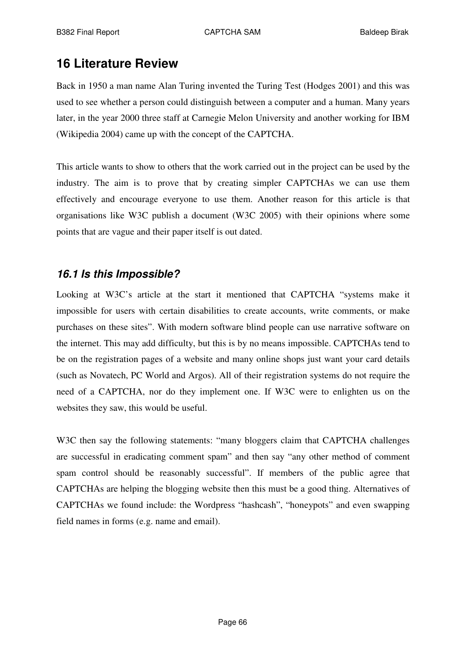# **16 Literature Review**

Back in 1950 a man name Alan Turing invented the Turing Test (Hodges 2001) and this was used to see whether a person could distinguish between a computer and a human. Many years later, in the year 2000 three staff at Carnegie Melon University and another working for IBM (Wikipedia 2004) came up with the concept of the CAPTCHA.

This article wants to show to others that the work carried out in the project can be used by the industry. The aim is to prove that by creating simpler CAPTCHAs we can use them effectively and encourage everyone to use them. Another reason for this article is that organisations like W3C publish a document (W3C 2005) with their opinions where some points that are vague and their paper itself is out dated.

# *16.1 Is this Impossible?*

Looking at W3C's article at the start it mentioned that CAPTCHA "systems make it impossible for users with certain disabilities to create accounts, write comments, or make purchases on these sites". With modern software blind people can use narrative software on the internet. This may add difficulty, but this is by no means impossible. CAPTCHAs tend to be on the registration pages of a website and many online shops just want your card details (such as Novatech, PC World and Argos). All of their registration systems do not require the need of a CAPTCHA, nor do they implement one. If W3C were to enlighten us on the websites they saw, this would be useful.

W3C then say the following statements: "many bloggers claim that CAPTCHA challenges are successful in eradicating comment spam" and then say "any other method of comment spam control should be reasonably successful". If members of the public agree that CAPTCHAs are helping the blogging website then this must be a good thing. Alternatives of CAPTCHAs we found include: the Wordpress "hashcash", "honeypots" and even swapping field names in forms (e.g. name and email).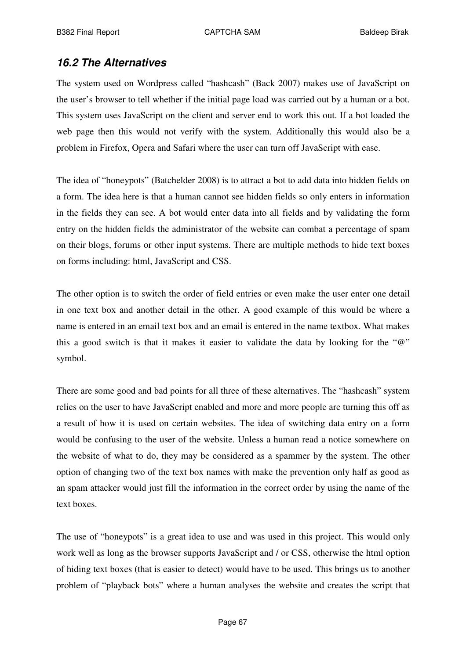# *16.2 The Alternatives*

The system used on Wordpress called "hashcash" (Back 2007) makes use of JavaScript on the user's browser to tell whether if the initial page load was carried out by a human or a bot. This system uses JavaScript on the client and server end to work this out. If a bot loaded the web page then this would not verify with the system. Additionally this would also be a problem in Firefox, Opera and Safari where the user can turn off JavaScript with ease.

The idea of "honeypots" (Batchelder 2008) is to attract a bot to add data into hidden fields on a form. The idea here is that a human cannot see hidden fields so only enters in information in the fields they can see. A bot would enter data into all fields and by validating the form entry on the hidden fields the administrator of the website can combat a percentage of spam on their blogs, forums or other input systems. There are multiple methods to hide text boxes on forms including: html, JavaScript and CSS.

The other option is to switch the order of field entries or even make the user enter one detail in one text box and another detail in the other. A good example of this would be where a name is entered in an email text box and an email is entered in the name textbox. What makes this a good switch is that it makes it easier to validate the data by looking for the "@" symbol.

There are some good and bad points for all three of these alternatives. The "hashcash" system relies on the user to have JavaScript enabled and more and more people are turning this off as a result of how it is used on certain websites. The idea of switching data entry on a form would be confusing to the user of the website. Unless a human read a notice somewhere on the website of what to do, they may be considered as a spammer by the system. The other option of changing two of the text box names with make the prevention only half as good as an spam attacker would just fill the information in the correct order by using the name of the text boxes.

The use of "honeypots" is a great idea to use and was used in this project. This would only work well as long as the browser supports JavaScript and / or CSS, otherwise the html option of hiding text boxes (that is easier to detect) would have to be used. This brings us to another problem of "playback bots" where a human analyses the website and creates the script that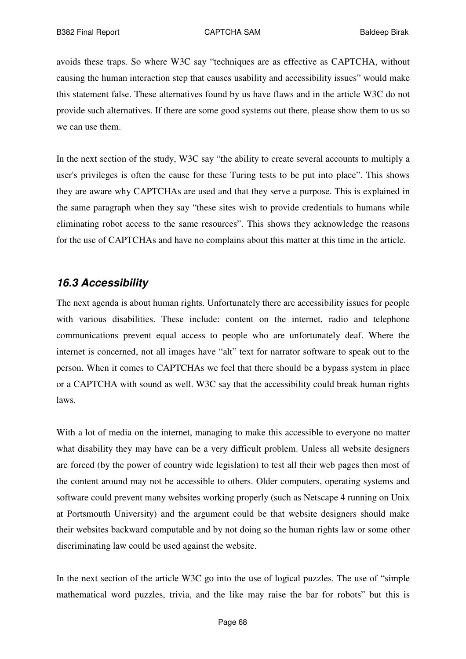avoids these traps. So where W3C say "techniques are as effective as CAPTCHA, without causing the human interaction step that causes usability and accessibility issues" would make this statement false. These alternatives found by us have flaws and in the article W3C do not provide such alternatives. If there are some good systems out there, please show them to us so we can use them.

In the next section of the study, W3C say "the ability to create several accounts to multiply a user's privileges is often the cause for these Turing tests to be put into place". This shows they are aware why CAPTCHAs are used and that they serve a purpose. This is explained in the same paragraph when they say "these sites wish to provide credentials to humans while eliminating robot access to the same resources". This shows they acknowledge the reasons for the use of CAPTCHAs and have no complains about this matter at this time in the article.

# *16.3 Accessibility*

The next agenda is about human rights. Unfortunately there are accessibility issues for people with various disabilities. These include: content on the internet, radio and telephone communications prevent equal access to people who are unfortunately deaf. Where the internet is concerned, not all images have "alt" text for narrator software to speak out to the person. When it comes to CAPTCHAs we feel that there should be a bypass system in place or a CAPTCHA with sound as well. W3C say that the accessibility could break human rights laws.

With a lot of media on the internet, managing to make this accessible to everyone no matter what disability they may have can be a very difficult problem. Unless all website designers are forced (by the power of country wide legislation) to test all their web pages then most of the content around may not be accessible to others. Older computers, operating systems and software could prevent many websites working properly (such as Netscape 4 running on Unix at Portsmouth University) and the argument could be that website designers should make their websites backward computable and by not doing so the human rights law or some other discriminating law could be used against the website.

In the next section of the article W3C go into the use of logical puzzles. The use of "simple mathematical word puzzles, trivia, and the like may raise the bar for robots" but this is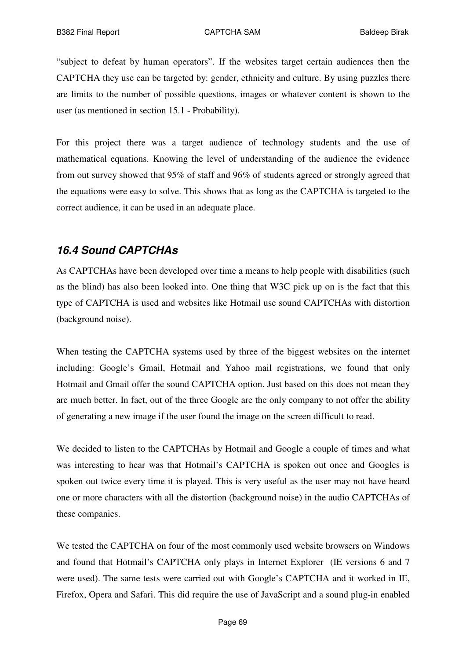"subject to defeat by human operators". If the websites target certain audiences then the CAPTCHA they use can be targeted by: gender, ethnicity and culture. By using puzzles there are limits to the number of possible questions, images or whatever content is shown to the user (as mentioned in section 15.1 - Probability).

For this project there was a target audience of technology students and the use of mathematical equations. Knowing the level of understanding of the audience the evidence from out survey showed that 95% of staff and 96% of students agreed or strongly agreed that the equations were easy to solve. This shows that as long as the CAPTCHA is targeted to the correct audience, it can be used in an adequate place.

# *16.4 Sound CAPTCHAs*

As CAPTCHAs have been developed over time a means to help people with disabilities (such as the blind) has also been looked into. One thing that W3C pick up on is the fact that this type of CAPTCHA is used and websites like Hotmail use sound CAPTCHAs with distortion (background noise).

When testing the CAPTCHA systems used by three of the biggest websites on the internet including: Google's Gmail, Hotmail and Yahoo mail registrations, we found that only Hotmail and Gmail offer the sound CAPTCHA option. Just based on this does not mean they are much better. In fact, out of the three Google are the only company to not offer the ability of generating a new image if the user found the image on the screen difficult to read.

We decided to listen to the CAPTCHAs by Hotmail and Google a couple of times and what was interesting to hear was that Hotmail's CAPTCHA is spoken out once and Googles is spoken out twice every time it is played. This is very useful as the user may not have heard one or more characters with all the distortion (background noise) in the audio CAPTCHAs of these companies.

We tested the CAPTCHA on four of the most commonly used website browsers on Windows and found that Hotmail's CAPTCHA only plays in Internet Explorer (IE versions 6 and 7 were used). The same tests were carried out with Google's CAPTCHA and it worked in IE, Firefox, Opera and Safari. This did require the use of JavaScript and a sound plug-in enabled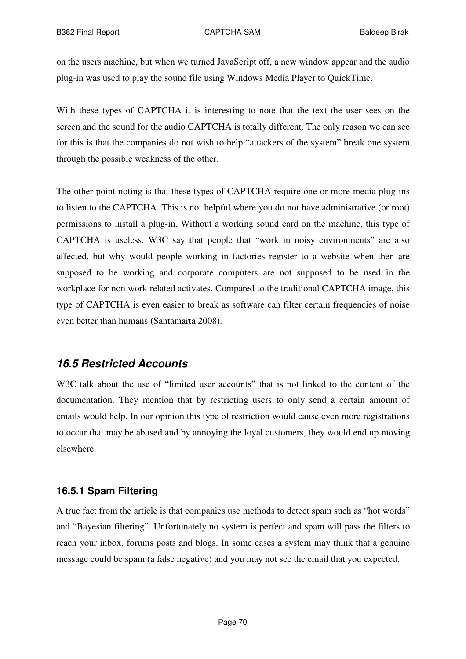on the users machine, but when we turned JavaScript off, a new window appear and the audio plug-in was used to play the sound file using Windows Media Player to QuickTime.

With these types of CAPTCHA it is interesting to note that the text the user sees on the screen and the sound for the audio CAPTCHA is totally different. The only reason we can see for this is that the companies do not wish to help "attackers of the system" break one system through the possible weakness of the other.

The other point noting is that these types of CAPTCHA require one or more media plug-ins to listen to the CAPTCHA. This is not helpful where you do not have administrative (or root) permissions to install a plug-in. Without a working sound card on the machine, this type of CAPTCHA is useless. W3C say that people that "work in noisy environments" are also affected, but why would people working in factories register to a website when then are supposed to be working and corporate computers are not supposed to be used in the workplace for non work related activates. Compared to the traditional CAPTCHA image, this type of CAPTCHA is even easier to break as software can filter certain frequencies of noise even better than humans (Santamarta 2008).

## *16.5 Restricted Accounts*

W3C talk about the use of "limited user accounts" that is not linked to the content of the documentation. They mention that by restricting users to only send a certain amount of emails would help. In our opinion this type of restriction would cause even more registrations to occur that may be abused and by annoying the loyal customers, they would end up moving elsewhere.

## **16.5.1 Spam Filtering**

A true fact from the article is that companies use methods to detect spam such as "hot words" and "Bayesian filtering". Unfortunately no system is perfect and spam will pass the filters to reach your inbox, forums posts and blogs. In some cases a system may think that a genuine message could be spam (a false negative) and you may not see the email that you expected.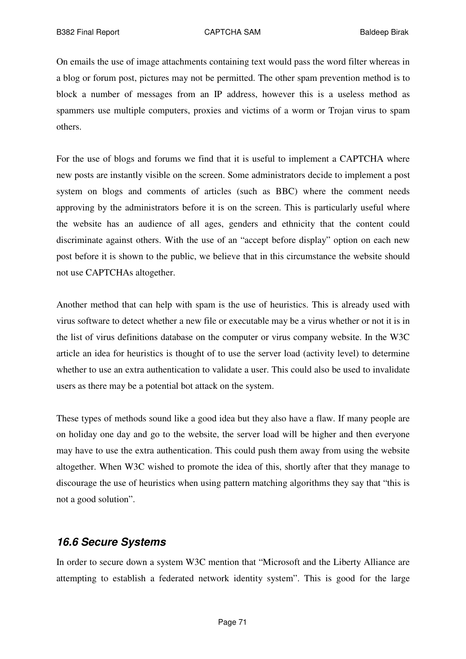On emails the use of image attachments containing text would pass the word filter whereas in a blog or forum post, pictures may not be permitted. The other spam prevention method is to block a number of messages from an IP address, however this is a useless method as spammers use multiple computers, proxies and victims of a worm or Trojan virus to spam others.

For the use of blogs and forums we find that it is useful to implement a CAPTCHA where new posts are instantly visible on the screen. Some administrators decide to implement a post system on blogs and comments of articles (such as BBC) where the comment needs approving by the administrators before it is on the screen. This is particularly useful where the website has an audience of all ages, genders and ethnicity that the content could discriminate against others. With the use of an "accept before display" option on each new post before it is shown to the public, we believe that in this circumstance the website should not use CAPTCHAs altogether.

Another method that can help with spam is the use of heuristics. This is already used with virus software to detect whether a new file or executable may be a virus whether or not it is in the list of virus definitions database on the computer or virus company website. In the W3C article an idea for heuristics is thought of to use the server load (activity level) to determine whether to use an extra authentication to validate a user. This could also be used to invalidate users as there may be a potential bot attack on the system.

These types of methods sound like a good idea but they also have a flaw. If many people are on holiday one day and go to the website, the server load will be higher and then everyone may have to use the extra authentication. This could push them away from using the website altogether. When W3C wished to promote the idea of this, shortly after that they manage to discourage the use of heuristics when using pattern matching algorithms they say that "this is not a good solution".

## *16.6 Secure Systems*

In order to secure down a system W3C mention that "Microsoft and the Liberty Alliance are attempting to establish a federated network identity system". This is good for the large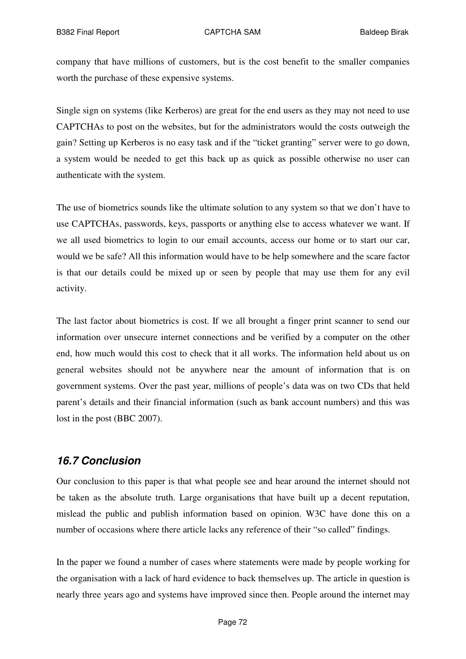company that have millions of customers, but is the cost benefit to the smaller companies worth the purchase of these expensive systems.

Single sign on systems (like Kerberos) are great for the end users as they may not need to use CAPTCHAs to post on the websites, but for the administrators would the costs outweigh the gain? Setting up Kerberos is no easy task and if the "ticket granting" server were to go down, a system would be needed to get this back up as quick as possible otherwise no user can authenticate with the system.

The use of biometrics sounds like the ultimate solution to any system so that we don't have to use CAPTCHAs, passwords, keys, passports or anything else to access whatever we want. If we all used biometrics to login to our email accounts, access our home or to start our car, would we be safe? All this information would have to be help somewhere and the scare factor is that our details could be mixed up or seen by people that may use them for any evil activity.

The last factor about biometrics is cost. If we all brought a finger print scanner to send our information over unsecure internet connections and be verified by a computer on the other end, how much would this cost to check that it all works. The information held about us on general websites should not be anywhere near the amount of information that is on government systems. Over the past year, millions of people's data was on two CDs that held parent's details and their financial information (such as bank account numbers) and this was lost in the post (BBC 2007).

# *16.7 Conclusion*

Our conclusion to this paper is that what people see and hear around the internet should not be taken as the absolute truth. Large organisations that have built up a decent reputation, mislead the public and publish information based on opinion. W3C have done this on a number of occasions where there article lacks any reference of their "so called" findings.

In the paper we found a number of cases where statements were made by people working for the organisation with a lack of hard evidence to back themselves up. The article in question is nearly three years ago and systems have improved since then. People around the internet may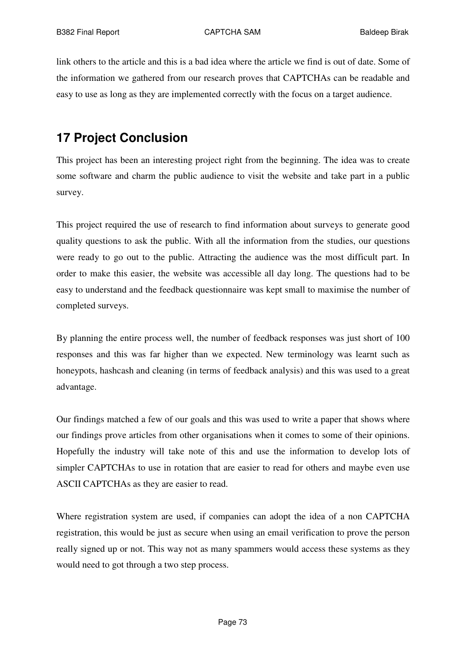link others to the article and this is a bad idea where the article we find is out of date. Some of the information we gathered from our research proves that CAPTCHAs can be readable and easy to use as long as they are implemented correctly with the focus on a target audience.

## **17 Project Conclusion**

This project has been an interesting project right from the beginning. The idea was to create some software and charm the public audience to visit the website and take part in a public survey.

This project required the use of research to find information about surveys to generate good quality questions to ask the public. With all the information from the studies, our questions were ready to go out to the public. Attracting the audience was the most difficult part. In order to make this easier, the website was accessible all day long. The questions had to be easy to understand and the feedback questionnaire was kept small to maximise the number of completed surveys.

By planning the entire process well, the number of feedback responses was just short of 100 responses and this was far higher than we expected. New terminology was learnt such as honeypots, hashcash and cleaning (in terms of feedback analysis) and this was used to a great advantage.

Our findings matched a few of our goals and this was used to write a paper that shows where our findings prove articles from other organisations when it comes to some of their opinions. Hopefully the industry will take note of this and use the information to develop lots of simpler CAPTCHAs to use in rotation that are easier to read for others and maybe even use ASCII CAPTCHAs as they are easier to read.

Where registration system are used, if companies can adopt the idea of a non CAPTCHA registration, this would be just as secure when using an email verification to prove the person really signed up or not. This way not as many spammers would access these systems as they would need to got through a two step process.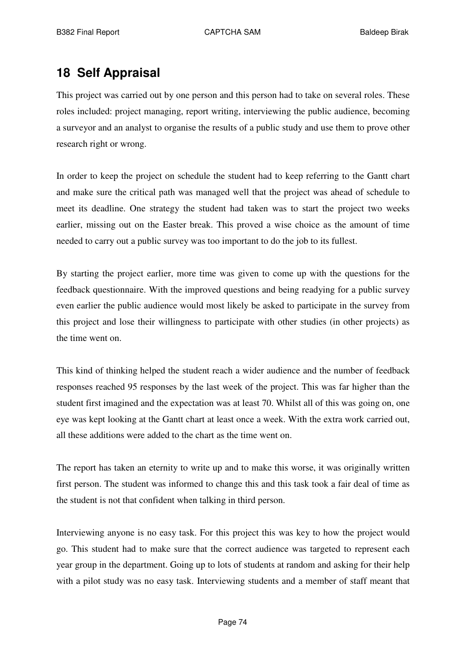## **18 Self Appraisal**

This project was carried out by one person and this person had to take on several roles. These roles included: project managing, report writing, interviewing the public audience, becoming a surveyor and an analyst to organise the results of a public study and use them to prove other research right or wrong.

In order to keep the project on schedule the student had to keep referring to the Gantt chart and make sure the critical path was managed well that the project was ahead of schedule to meet its deadline. One strategy the student had taken was to start the project two weeks earlier, missing out on the Easter break. This proved a wise choice as the amount of time needed to carry out a public survey was too important to do the job to its fullest.

By starting the project earlier, more time was given to come up with the questions for the feedback questionnaire. With the improved questions and being readying for a public survey even earlier the public audience would most likely be asked to participate in the survey from this project and lose their willingness to participate with other studies (in other projects) as the time went on.

This kind of thinking helped the student reach a wider audience and the number of feedback responses reached 95 responses by the last week of the project. This was far higher than the student first imagined and the expectation was at least 70. Whilst all of this was going on, one eye was kept looking at the Gantt chart at least once a week. With the extra work carried out, all these additions were added to the chart as the time went on.

The report has taken an eternity to write up and to make this worse, it was originally written first person. The student was informed to change this and this task took a fair deal of time as the student is not that confident when talking in third person.

Interviewing anyone is no easy task. For this project this was key to how the project would go. This student had to make sure that the correct audience was targeted to represent each year group in the department. Going up to lots of students at random and asking for their help with a pilot study was no easy task. Interviewing students and a member of staff meant that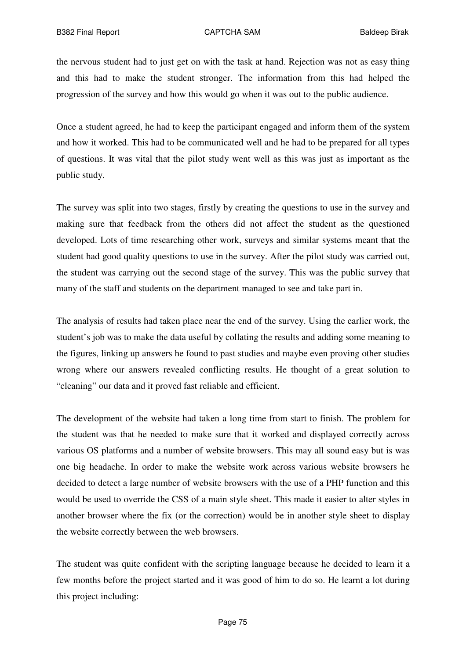the nervous student had to just get on with the task at hand. Rejection was not as easy thing and this had to make the student stronger. The information from this had helped the progression of the survey and how this would go when it was out to the public audience.

Once a student agreed, he had to keep the participant engaged and inform them of the system and how it worked. This had to be communicated well and he had to be prepared for all types of questions. It was vital that the pilot study went well as this was just as important as the public study.

The survey was split into two stages, firstly by creating the questions to use in the survey and making sure that feedback from the others did not affect the student as the questioned developed. Lots of time researching other work, surveys and similar systems meant that the student had good quality questions to use in the survey. After the pilot study was carried out, the student was carrying out the second stage of the survey. This was the public survey that many of the staff and students on the department managed to see and take part in.

The analysis of results had taken place near the end of the survey. Using the earlier work, the student's job was to make the data useful by collating the results and adding some meaning to the figures, linking up answers he found to past studies and maybe even proving other studies wrong where our answers revealed conflicting results. He thought of a great solution to "cleaning" our data and it proved fast reliable and efficient.

The development of the website had taken a long time from start to finish. The problem for the student was that he needed to make sure that it worked and displayed correctly across various OS platforms and a number of website browsers. This may all sound easy but is was one big headache. In order to make the website work across various website browsers he decided to detect a large number of website browsers with the use of a PHP function and this would be used to override the CSS of a main style sheet. This made it easier to alter styles in another browser where the fix (or the correction) would be in another style sheet to display the website correctly between the web browsers.

The student was quite confident with the scripting language because he decided to learn it a few months before the project started and it was good of him to do so. He learnt a lot during this project including: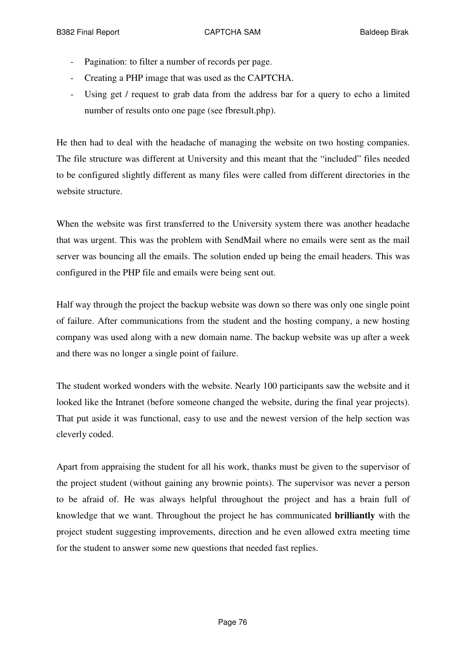- Pagination: to filter a number of records per page.
- Creating a PHP image that was used as the CAPTCHA.
- Using get / request to grab data from the address bar for a query to echo a limited number of results onto one page (see fbresult.php).

He then had to deal with the headache of managing the website on two hosting companies. The file structure was different at University and this meant that the "included" files needed to be configured slightly different as many files were called from different directories in the website structure.

When the website was first transferred to the University system there was another headache that was urgent. This was the problem with SendMail where no emails were sent as the mail server was bouncing all the emails. The solution ended up being the email headers. This was configured in the PHP file and emails were being sent out.

Half way through the project the backup website was down so there was only one single point of failure. After communications from the student and the hosting company, a new hosting company was used along with a new domain name. The backup website was up after a week and there was no longer a single point of failure.

The student worked wonders with the website. Nearly 100 participants saw the website and it looked like the Intranet (before someone changed the website, during the final year projects). That put aside it was functional, easy to use and the newest version of the help section was cleverly coded.

Apart from appraising the student for all his work, thanks must be given to the supervisor of the project student (without gaining any brownie points). The supervisor was never a person to be afraid of. He was always helpful throughout the project and has a brain full of knowledge that we want. Throughout the project he has communicated **brilliantly** with the project student suggesting improvements, direction and he even allowed extra meeting time for the student to answer some new questions that needed fast replies.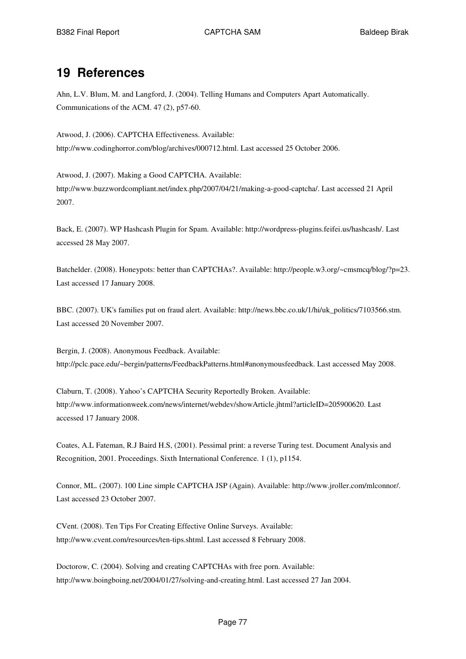### **19 References**

Ahn, L.V. Blum, M. and Langford, J. (2004). Telling Humans and Computers Apart Automatically. Communications of the ACM. 47 (2), p57-60.

Atwood, J. (2006). CAPTCHA Effectiveness. Available: http://www.codinghorror.com/blog/archives/000712.html. Last accessed 25 October 2006.

Atwood, J. (2007). Making a Good CAPTCHA. Available: http://www.buzzwordcompliant.net/index.php/2007/04/21/making-a-good-captcha/. Last accessed 21 April 2007.

Back, E. (2007). WP Hashcash Plugin for Spam. Available: http://wordpress-plugins.feifei.us/hashcash/. Last accessed 28 May 2007.

Batchelder. (2008). Honeypots: better than CAPTCHAs?. Available: http://people.w3.org/~cmsmcq/blog/?p=23. Last accessed 17 January 2008.

BBC. (2007). UK's families put on fraud alert. Available: http://news.bbc.co.uk/1/hi/uk\_politics/7103566.stm. Last accessed 20 November 2007.

Bergin, J. (2008). Anonymous Feedback. Available: http://pclc.pace.edu/~bergin/patterns/FeedbackPatterns.html#anonymousfeedback. Last accessed May 2008.

Claburn, T. (2008). Yahoo's CAPTCHA Security Reportedly Broken. Available: http://www.informationweek.com/news/internet/webdev/showArticle.jhtml?articleID=205900620. Last accessed 17 January 2008.

Coates, A.L Fateman, R.J Baird H.S, (2001). Pessimal print: a reverse Turing test. Document Analysis and Recognition, 2001. Proceedings. Sixth International Conference. 1 (1), p1154.

Connor, ML. (2007). 100 Line simple CAPTCHA JSP (Again). Available: http://www.jroller.com/mlconnor/. Last accessed 23 October 2007.

CVent. (2008). Ten Tips For Creating Effective Online Surveys. Available: http://www.cvent.com/resources/ten-tips.shtml. Last accessed 8 February 2008.

Doctorow, C. (2004). Solving and creating CAPTCHAs with free porn. Available: http://www.boingboing.net/2004/01/27/solving-and-creating.html. Last accessed 27 Jan 2004.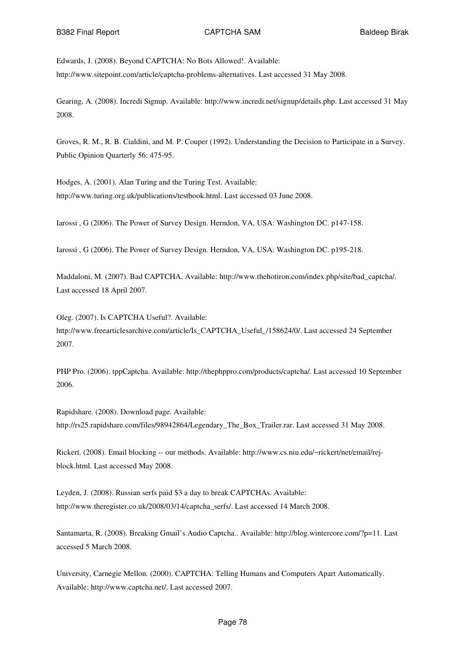Edwards, J. (2008). Beyond CAPTCHA: No Bots Allowed!. Available: http://www.sitepoint.com/article/captcha-problems-alternatives. Last accessed 31 May 2008.

Gearing, A. (2008). Incredi Signup. Available: http://www.incredi.net/signup/details.php. Last accessed 31 May 2008.

Groves, R. M., R. B. Cialdini, and M. P. Couper (1992). Understanding the Decision to Participate in a Survey. Public Opinion Quarterly 56: 475-95.

Hodges, A. (2001). Alan Turing and the Turing Test. Available: http://www.turing.org.uk/publications/testbook.html. Last accessed 03 June 2008.

Iarossi , G (2006). The Power of Survey Design. Herndon, VA, USA: Washington DC. p147-158.

Iarossi , G (2006). The Power of Survey Design. Herndon, VA, USA: Washington DC. p195-218.

Maddaloni, M. (2007). Bad CAPTCHA. Available: http://www.thehotiron.com/index.php/site/bad\_captcha/. Last accessed 18 April 2007.

Oleg. (2007). Is CAPTCHA Useful?. Available: http://www.freearticlesarchive.com/article/Is\_CAPTCHA\_Useful\_/158624/0/. Last accessed 24 September 2007.

PHP Pro. (2006). tppCaptcha. Available: http://thephppro.com/products/captcha/. Last accessed 10 September 2006.

Rapidshare. (2008). Download page. Available: http://rs25.rapidshare.com/files/98942864/Legendary\_The\_Box\_Trailer.rar. Last accessed 31 May 2008.

Rickert. (2008). Email blocking -- our methods. Available: http://www.cs.niu.edu/~rickert/net/email/rejblock.html. Last accessed May 2008.

Leyden, J. (2008). Russian serfs paid \$3 a day to break CAPTCHAs. Available: http://www.theregister.co.uk/2008/03/14/captcha\_serfs/. Last accessed 14 March 2008.

Santamarta, R. (2008). Breaking Gmail's Audio Captcha.. Available: http://blog.wintercore.com/?p=11. Last accessed 5 March 2008.

University, Carnegie Mellon. (2000). CAPTCHA: Telling Humans and Computers Apart Automatically. Available: http://www.captcha.net/. Last accessed 2007.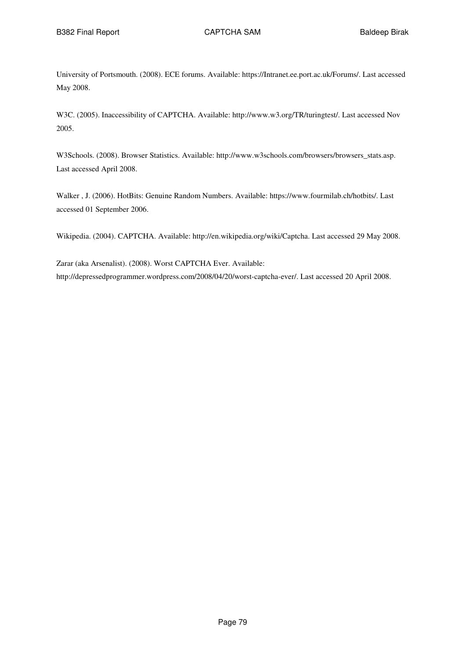University of Portsmouth. (2008). ECE forums. Available: https://Intranet.ee.port.ac.uk/Forums/. Last accessed May 2008.

W3C. (2005). Inaccessibility of CAPTCHA. Available: http://www.w3.org/TR/turingtest/. Last accessed Nov 2005.

W3Schools. (2008). Browser Statistics. Available: http://www.w3schools.com/browsers/browsers\_stats.asp. Last accessed April 2008.

Walker , J. (2006). HotBits: Genuine Random Numbers. Available: https://www.fourmilab.ch/hotbits/. Last accessed 01 September 2006.

Wikipedia. (2004). CAPTCHA. Available: http://en.wikipedia.org/wiki/Captcha. Last accessed 29 May 2008.

Zarar (aka Arsenalist). (2008). Worst CAPTCHA Ever. Available: http://depressedprogrammer.wordpress.com/2008/04/20/worst-captcha-ever/. Last accessed 20 April 2008.